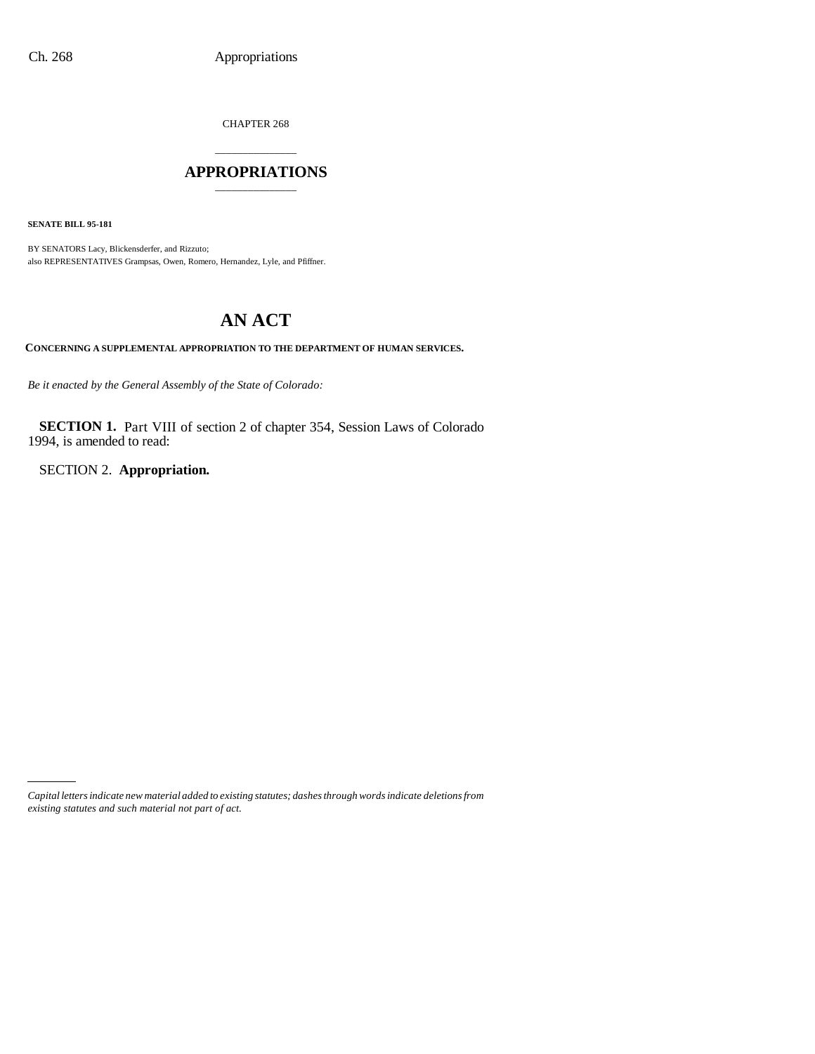CHAPTER 268

# \_\_\_\_\_\_\_\_\_\_\_\_\_\_\_ **APPROPRIATIONS** \_\_\_\_\_\_\_\_\_\_\_\_\_\_\_

**SENATE BILL 95-181**

BY SENATORS Lacy, Blickensderfer, and Rizzuto; also REPRESENTATIVES Grampsas, Owen, Romero, Hernandez, Lyle, and Pfiffner.

# **AN ACT**

**CONCERNING A SUPPLEMENTAL APPROPRIATION TO THE DEPARTMENT OF HUMAN SERVICES.**

*Be it enacted by the General Assembly of the State of Colorado:*

**SECTION 1.** Part VIII of section 2 of chapter 354, Session Laws of Colorado 1994, is amended to read:

SECTION 2. **Appropriation.**

*Capital letters indicate new material added to existing statutes; dashes through words indicate deletions from existing statutes and such material not part of act.*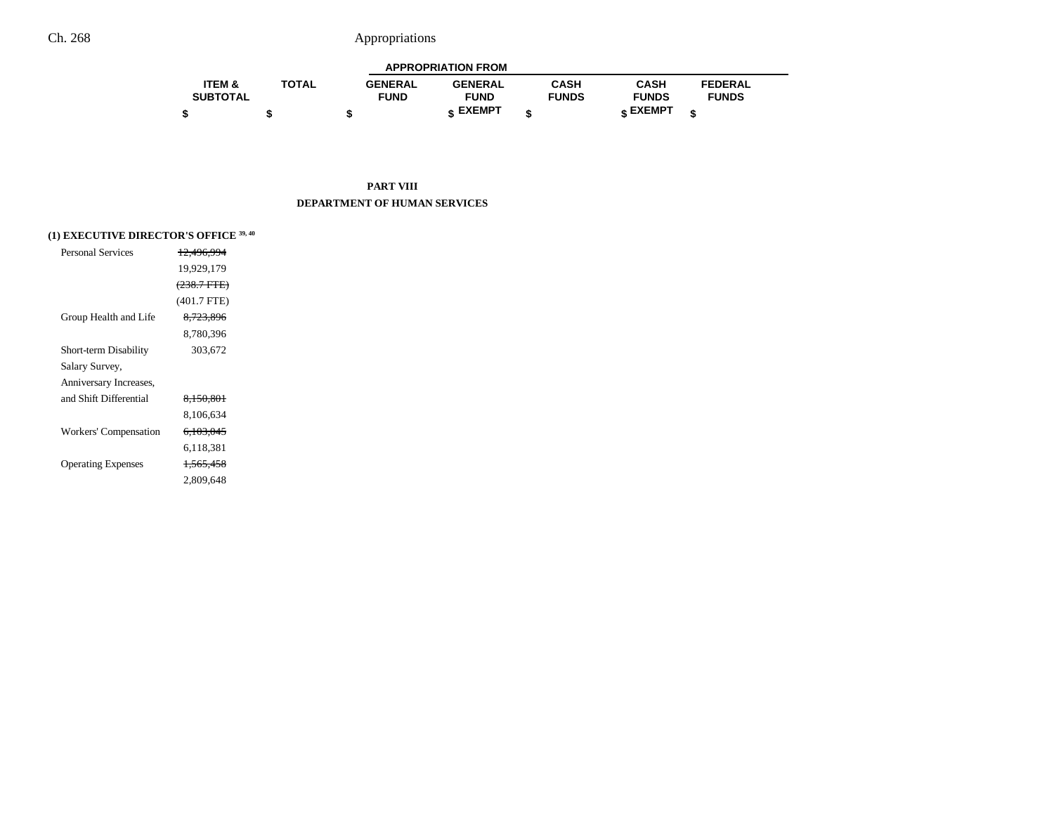| <b>APPROPRIATION FROM</b> |              |                |                 |              |              |                |  |
|---------------------------|--------------|----------------|-----------------|--------------|--------------|----------------|--|
| <b>ITEM &amp;</b>         | <b>TOTAL</b> | <b>GENERAL</b> | <b>GENERAL</b>  | CASH         | CASH         | <b>FEDERAL</b> |  |
| <b>SUBTOTAL</b>           |              | <b>FUND</b>    | <b>FUND</b>     | <b>FUNDS</b> | <b>FUNDS</b> | <b>FUNDS</b>   |  |
|                           |              |                | <b>« EXEMPT</b> |              | e EXEMPT     |                |  |

**PART VIII DEPARTMENT OF HUMAN SERVICES**

## **(1) EXECUTIVE DIRECTOR'S OFFICE 39, 40**

| Personal Services         | 12.496.994             |  |
|---------------------------|------------------------|--|
|                           | 19,929,179             |  |
|                           | <del>(238.7 FTE)</del> |  |
|                           | $(401.7$ FTE)          |  |
| Group Health and Life     | 8.723.896              |  |
|                           | 8.780.396              |  |
| Short-term Disability     | 303,672                |  |
| Salary Survey,            |                        |  |
| Anniversary Increases,    |                        |  |
| and Shift Differential    | 8,150,801              |  |
|                           | 8,106,634              |  |
| Workers' Compensation     | <del>6,103,045</del>   |  |
|                           | 6.118.381              |  |
| <b>Operating Expenses</b> | <del>1,565,458</del>   |  |
|                           | 2,809,648              |  |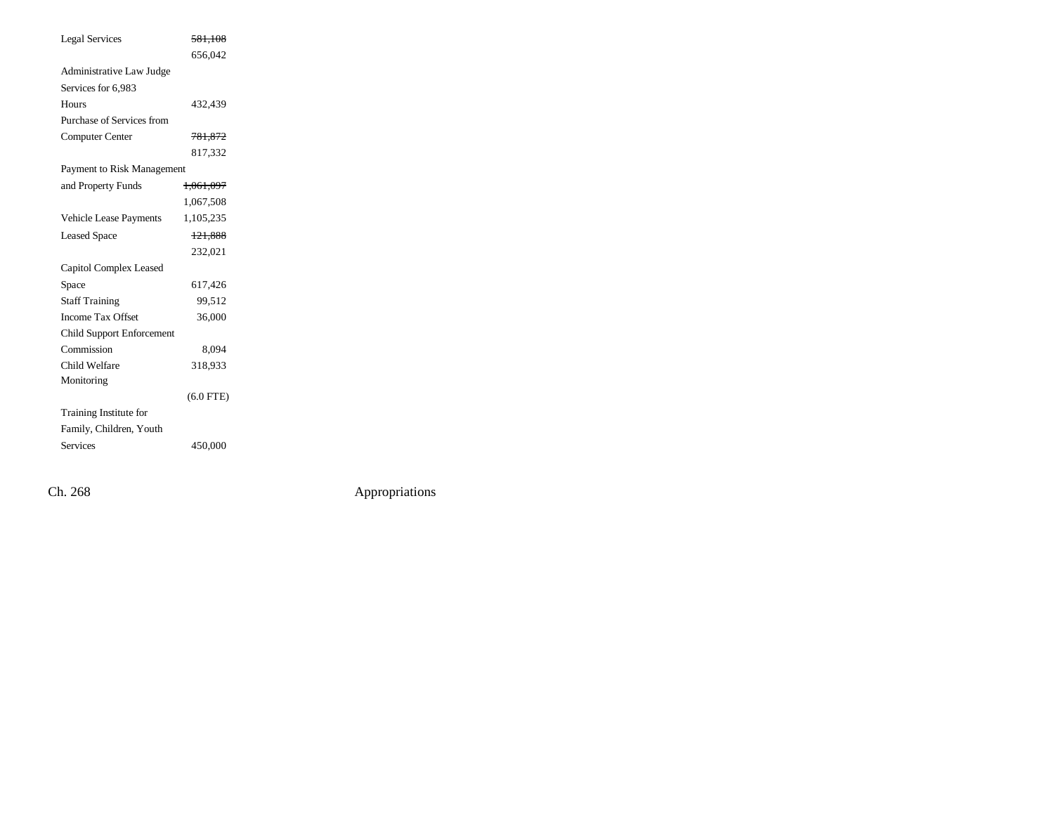| <b>Legal Services</b>            | 581,108              |
|----------------------------------|----------------------|
|                                  | 656,042              |
| <b>Administrative Law Judge</b>  |                      |
| Services for 6,983               |                      |
| Hours                            | 432,439              |
| Purchase of Services from        |                      |
| Computer Center                  | 781,872              |
|                                  | 817,332              |
| Payment to Risk Management       |                      |
| and Property Funds               | <del>1,061,097</del> |
|                                  | 1,067,508            |
| Vehicle Lease Payments           | 1,105,235            |
| <b>Leased Space</b>              | 121,888              |
|                                  | 232,021              |
| Capitol Complex Leased           |                      |
| Space                            | 617,426              |
| <b>Staff Training</b>            | 99,512               |
| <b>Income Tax Offset</b>         | 36,000               |
| <b>Child Support Enforcement</b> |                      |
| Commission                       | 8.094                |
| Child Welfare                    | 318,933              |
| Monitoring                       |                      |
|                                  | $(6.0$ FTE)          |
| <b>Training Institute for</b>    |                      |
| Family, Children, Youth          |                      |
| <b>Services</b>                  | 450,000              |
|                                  |                      |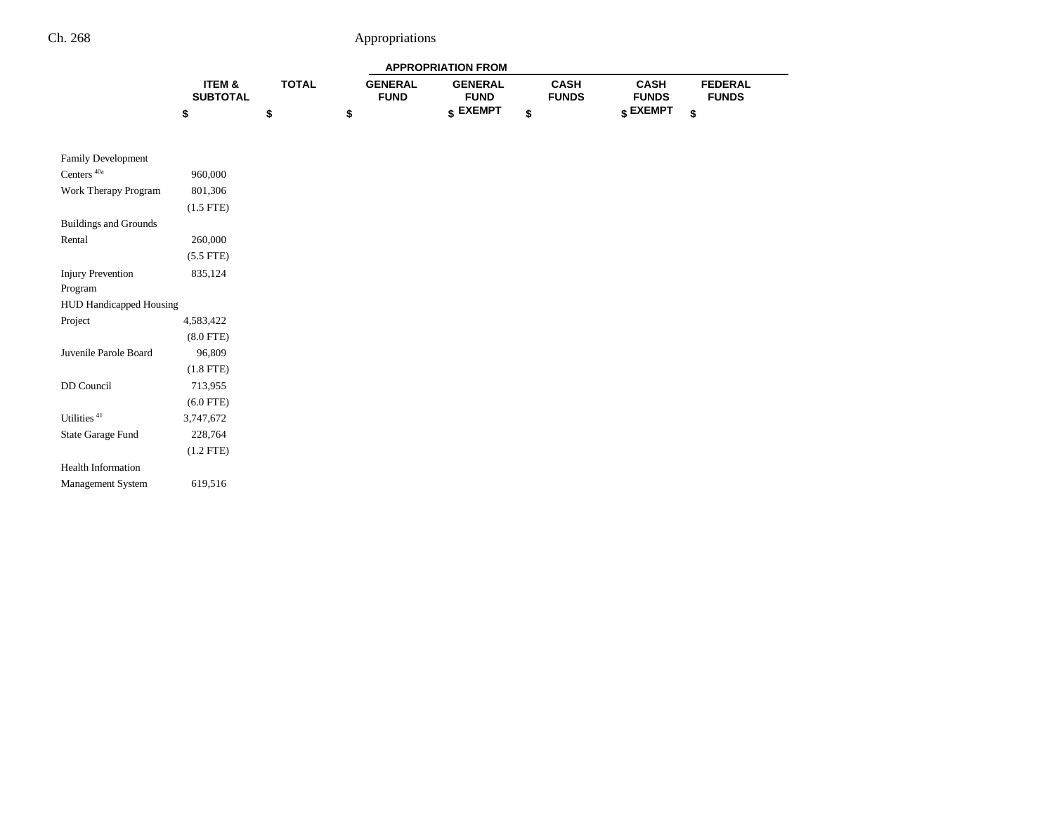| <b>APPROPRIATION FROM</b> |                   |              |                |                |              |                 |                |
|---------------------------|-------------------|--------------|----------------|----------------|--------------|-----------------|----------------|
|                           | <b>ITEM &amp;</b> | <b>TOTAL</b> | <b>GENERAL</b> | <b>GENERAL</b> | <b>CASH</b>  | <b>CASH</b>     | <b>FEDERAL</b> |
|                           | <b>SUBTOTAL</b>   |              | <b>FUND</b>    | <b>FUND</b>    | <b>FUNDS</b> | <b>FUNDS</b>    | <b>FUNDS</b>   |
|                           |                   |              |                | <b>EXEMPT</b>  |              | <b>c</b> EXEMPT | ≁              |

| <b>Family Development</b>      |                |
|--------------------------------|----------------|
| Centers <sup>40a</sup>         | 960,000        |
| Work Therapy Program           | 801,306        |
|                                | $(1.5$ FTE)    |
| <b>Buildings and Grounds</b>   |                |
| Rental                         | 260,000        |
|                                | $(5.5$ FTE)    |
| <b>Injury Prevention</b>       | 835.124        |
| Program                        |                |
| <b>HUD Handicapped Housing</b> |                |
| Project                        | 4.583.422      |
|                                | $(8.0$ FTE $)$ |
| Juvenile Parole Board          | 96,809         |
|                                | $(1.8$ FTE $)$ |
| DD Council                     | 713,955        |
|                                | $(6.0$ FTE)    |
| Utilities <sup>41</sup>        | 3.747.672      |
| State Garage Fund              | 228,764        |
|                                | $(1.2$ FTE $)$ |
| <b>Health Information</b>      |                |
| <b>Management System</b>       | 619,516        |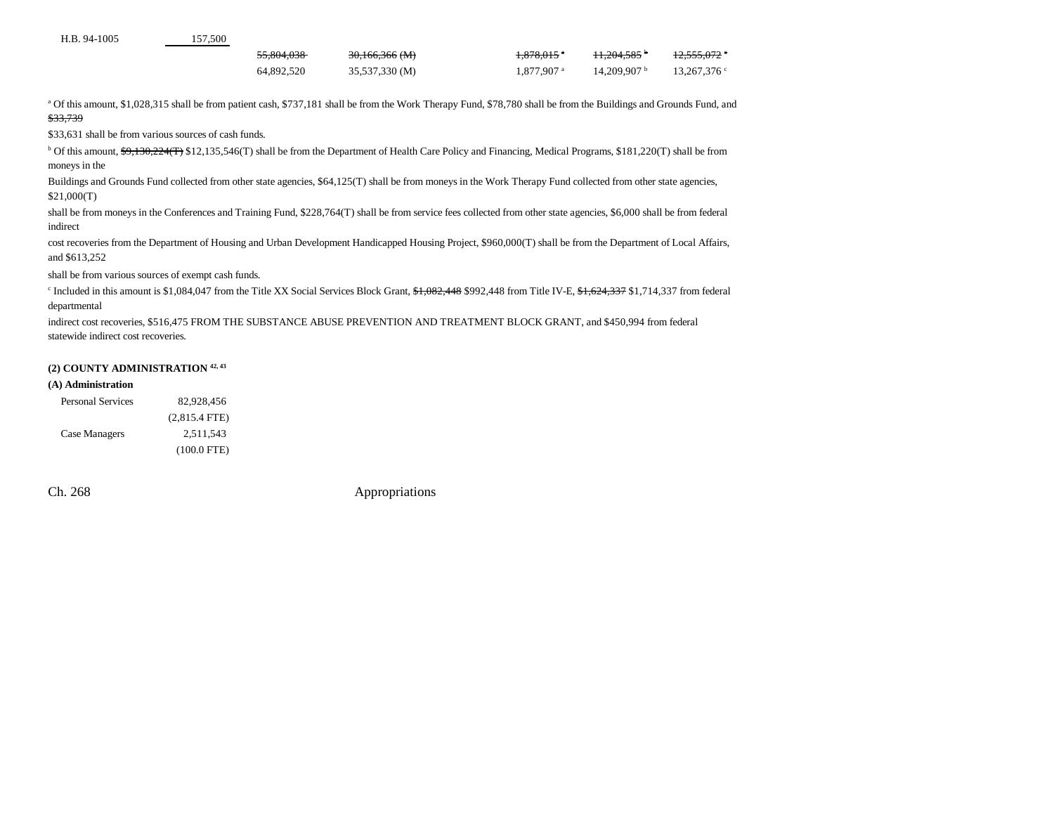| H.B. 94-1005 |  |
|--------------|--|
|              |  |

5 157,500

| 55.804.038 | $30,166,366$ (M) | 070015a<br>1.070.01J | 11.004.595 $\sigma$<br>$11.20 + 0.00$ | 10 $\epsilon \epsilon \epsilon$ 070 $\epsilon$<br>12.JJJ.VIZ |
|------------|------------------|----------------------|---------------------------------------|--------------------------------------------------------------|
| 64,892,520 | 35,537,330 (M)   | 1,877,907 a          | 14.209.907 <sup>b</sup>               | 13,267,376                                                   |

a Of this amount, \$1,028,315 shall be from patient cash, \$737,181 shall be from the Work Therapy Fund, \$78,780 shall be from the Buildings and Grounds Fund, and \$33,739

\$33,631 shall be from various sources of cash funds.

<sup>b</sup> Of this amount, \$9,130,224(T) \$12,135,546(T) shall be from the Department of Health Care Policy and Financing, Medical Programs, \$181,220(T) shall be from moneys in the

Buildings and Grounds Fund collected from other state agencies, \$64,125(T) shall be from moneys in the Work Therapy Fund collected from other state agencies, \$21,000(T)

shall be from moneys in the Conferences and Training Fund, \$228,764(T) shall be from service fees collected from other state agencies, \$6,000 shall be from federal indirect

cost recoveries from the Department of Housing and Urban Development Handicapped Housing Project, \$960,000(T) shall be from the Department of Local Affairs, and \$613,252

shall be from various sources of exempt cash funds.

<sup>c</sup> Included in this amount is \$1,084,047 from the Title XX Social Services Block Grant, \$1,082,448 \$992,448 from Title IV-E, \$1,624,337 \$1,714,337 from federal departmental

indirect cost recoveries, \$516,475 FROM THE SUBSTANCE ABUSE PREVENTION AND TREATMENT BLOCK GRANT, and \$450,994 from federal statewide indirect cost recoveries.

#### **(2) COUNTY ADMINISTRATION 42, 43**

#### **(A) Administration**

| <b>Personal Services</b> | 82.928.456      |
|--------------------------|-----------------|
|                          | $(2,815.4$ FTE) |
| Case Managers            | 2,511,543       |
|                          | $(100.0$ FTE)   |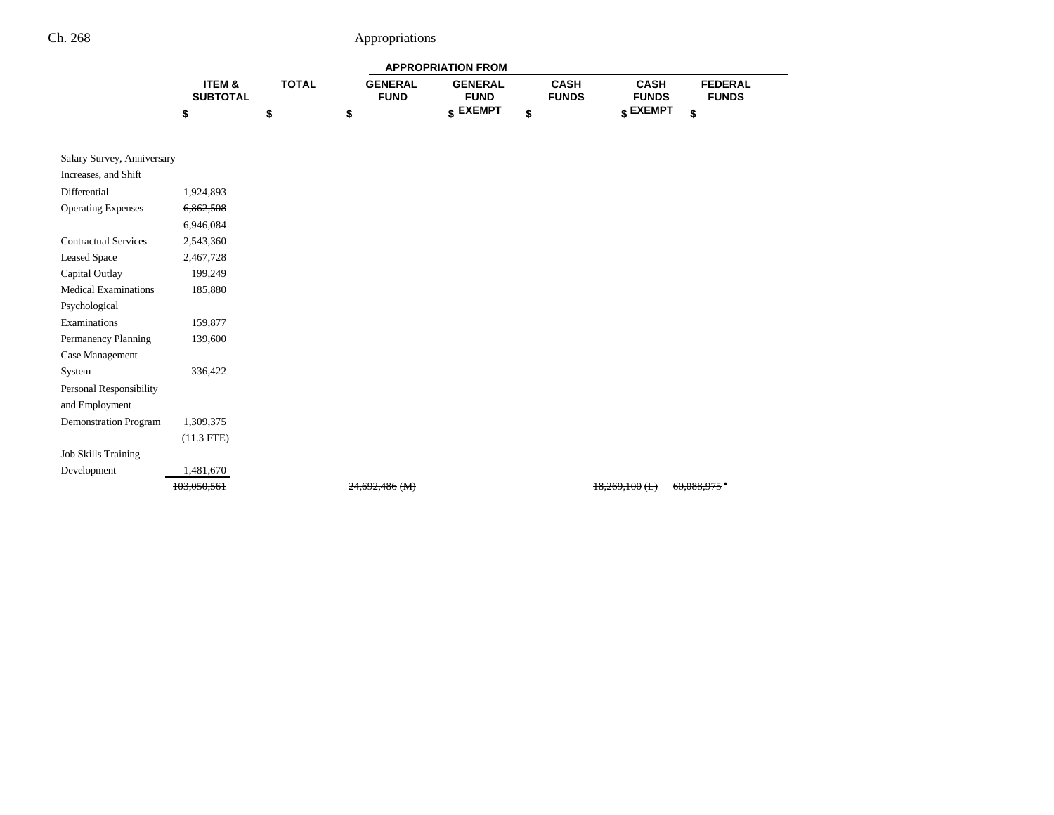| <b>APPROPRIATION FROM</b>            |              |                               |                               |                             |                             |                                |  |
|--------------------------------------|--------------|-------------------------------|-------------------------------|-----------------------------|-----------------------------|--------------------------------|--|
| <b>ITEM &amp;</b><br><b>SUBTOTAL</b> | <b>TOTAL</b> | <b>GENERAL</b><br><b>FUND</b> | <b>GENERAL</b><br><b>FUND</b> | <b>CASH</b><br><b>FUNDS</b> | <b>CASH</b><br><b>FUNDS</b> | <b>FEDERAL</b><br><b>FUNDS</b> |  |
|                                      |              | S                             | <b>EXEMPT</b>                 | ¢                           | $\binom{1}{k}$ EXEMPT       | ¢                              |  |
|                                      |              |                               |                               |                             |                             |                                |  |

| 1,924,893<br>6,862,508<br>6,946,084<br>2,543,360<br>2,467,728<br>199,249<br>185,880<br>159,877<br>139,600<br>336,422<br>1,309,375<br>$(11.3$ FTE)<br>1,481,670                                                                                                                                              | Salary Survey, Anniversary |             |                  |                  |
|-------------------------------------------------------------------------------------------------------------------------------------------------------------------------------------------------------------------------------------------------------------------------------------------------------------|----------------------------|-------------|------------------|------------------|
|                                                                                                                                                                                                                                                                                                             | Increases, and Shift       |             |                  |                  |
|                                                                                                                                                                                                                                                                                                             | Differential               |             |                  |                  |
|                                                                                                                                                                                                                                                                                                             | <b>Operating Expenses</b>  |             |                  |                  |
| <b>Contractual Services</b><br><b>Leased Space</b><br>Capital Outlay<br><b>Medical Examinations</b><br>Psychological<br>Examinations<br>Permanency Planning<br>Case Management<br>System<br>Personal Responsibility<br>and Employment<br>Demonstration Program<br><b>Job Skills Training</b><br>Development |                            |             |                  |                  |
|                                                                                                                                                                                                                                                                                                             |                            |             |                  |                  |
|                                                                                                                                                                                                                                                                                                             |                            |             |                  |                  |
|                                                                                                                                                                                                                                                                                                             |                            |             |                  |                  |
|                                                                                                                                                                                                                                                                                                             |                            |             |                  |                  |
|                                                                                                                                                                                                                                                                                                             |                            |             |                  |                  |
|                                                                                                                                                                                                                                                                                                             |                            |             |                  |                  |
|                                                                                                                                                                                                                                                                                                             |                            |             |                  |                  |
|                                                                                                                                                                                                                                                                                                             |                            |             |                  |                  |
|                                                                                                                                                                                                                                                                                                             |                            |             |                  |                  |
|                                                                                                                                                                                                                                                                                                             |                            |             |                  |                  |
|                                                                                                                                                                                                                                                                                                             |                            |             |                  |                  |
|                                                                                                                                                                                                                                                                                                             |                            |             |                  |                  |
|                                                                                                                                                                                                                                                                                                             |                            |             |                  |                  |
|                                                                                                                                                                                                                                                                                                             |                            |             |                  |                  |
|                                                                                                                                                                                                                                                                                                             |                            |             |                  |                  |
|                                                                                                                                                                                                                                                                                                             |                            | 103,050,561 | $24,692,486$ (M) | $18,269,100$ (L) |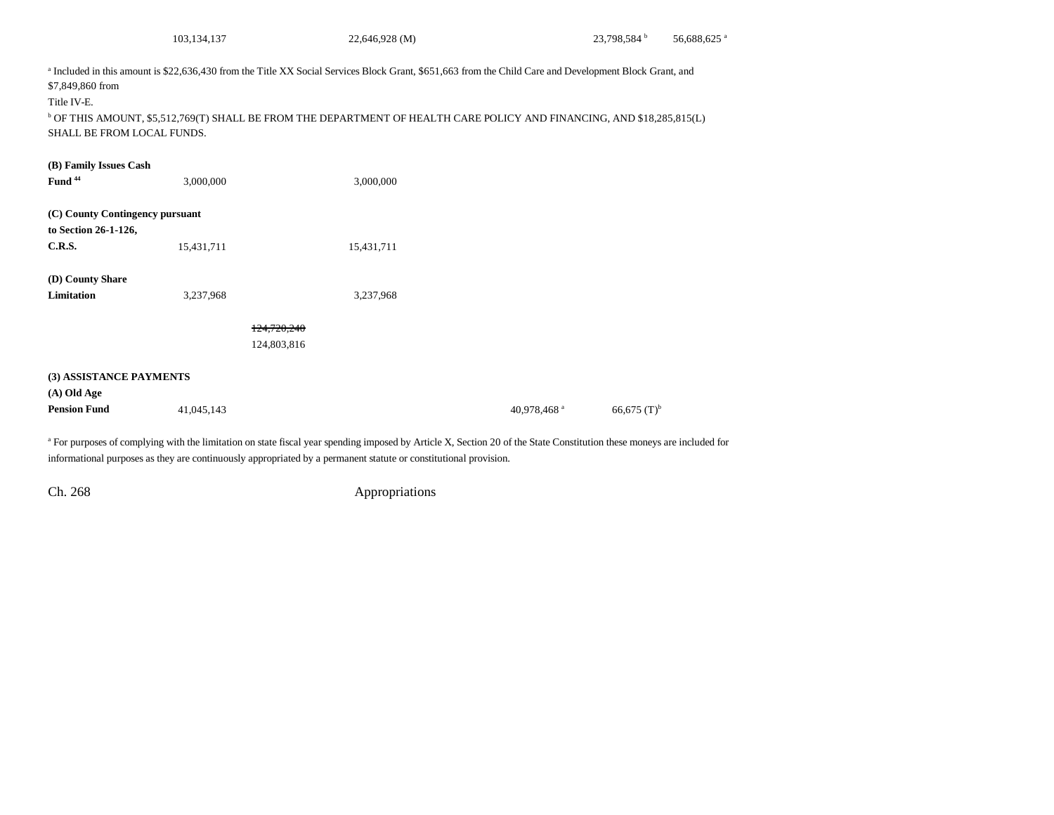|                                                                          | 103,134,137 | 22,646,928 (M)                                                                                                                                                                                                                                                                               |                         | 23,798,584 <sup>b</sup>   | 56,688,625 <sup>a</sup> |
|--------------------------------------------------------------------------|-------------|----------------------------------------------------------------------------------------------------------------------------------------------------------------------------------------------------------------------------------------------------------------------------------------------|-------------------------|---------------------------|-------------------------|
| \$7,849,860 from<br>Title IV-E.<br>SHALL BE FROM LOCAL FUNDS.            |             | a Included in this amount is \$22,636,430 from the Title XX Social Services Block Grant, \$651,663 from the Child Care and Development Block Grant, and<br><sup>b</sup> OF THIS AMOUNT, \$5,512,769(T) SHALL BE FROM THE DEPARTMENT OF HEALTH CARE POLICY AND FINANCING, AND \$18,285,815(L) |                         |                           |                         |
| (B) Family Issues Cash                                                   |             |                                                                                                                                                                                                                                                                                              |                         |                           |                         |
| Fund <sup>44</sup>                                                       | 3,000,000   | 3,000,000                                                                                                                                                                                                                                                                                    |                         |                           |                         |
| (C) County Contingency pursuant<br>to Section 26-1-126,<br><b>C.R.S.</b> | 15,431,711  | 15,431,711                                                                                                                                                                                                                                                                                   |                         |                           |                         |
| (D) County Share                                                         |             |                                                                                                                                                                                                                                                                                              |                         |                           |                         |
| <b>Limitation</b>                                                        | 3,237,968   | 3,237,968                                                                                                                                                                                                                                                                                    |                         |                           |                         |
|                                                                          |             | 124,720,240<br>124,803,816                                                                                                                                                                                                                                                                   |                         |                           |                         |
| (3) ASSISTANCE PAYMENTS                                                  |             |                                                                                                                                                                                                                                                                                              |                         |                           |                         |
| (A) Old Age                                                              |             |                                                                                                                                                                                                                                                                                              |                         |                           |                         |
| <b>Pension Fund</b>                                                      | 41,045,143  |                                                                                                                                                                                                                                                                                              | 40,978,468 <sup>a</sup> | $66,675$ (T) <sup>b</sup> |                         |

<sup>a</sup> For purposes of complying with the limitation on state fiscal year spending imposed by Article X, Section 20 of the State Constitution these moneys are included for informational purposes as they are continuously appropriated by a permanent statute or constitutional provision.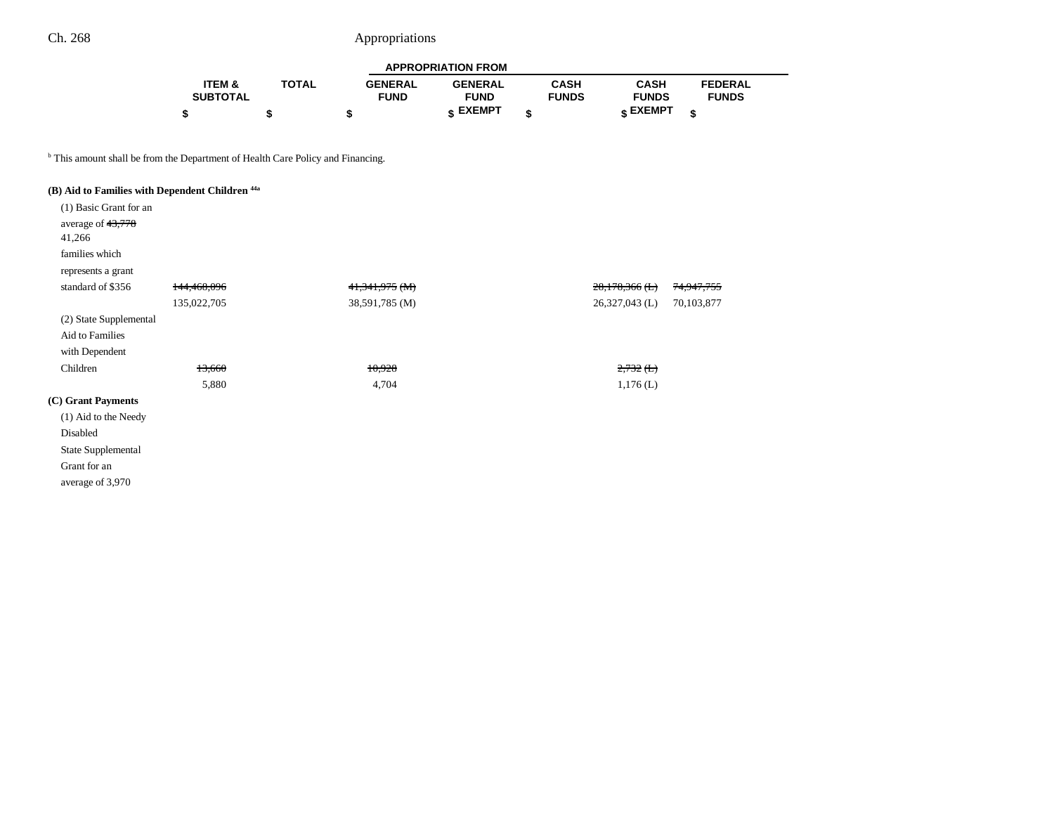| <b>APPROPRIATION FROM</b> |              |                |                 |              |                 |                |
|---------------------------|--------------|----------------|-----------------|--------------|-----------------|----------------|
| <b>ITEM &amp;</b>         | <b>TOTAL</b> | <b>GENERAL</b> | <b>GENERAL</b>  | <b>CASH</b>  | <b>CASH</b>     | <b>FEDERAL</b> |
| <b>SUBTOTAL</b>           |              | <b>FUND</b>    | <b>FUND</b>     | <b>FUNDS</b> | <b>FUNDS</b>    | <b>FUNDS</b>   |
|                           |              |                | <b>« EXEMPT</b> | ¢            | <b>« EXEMPT</b> | ¢              |

—

<sup>b</sup> This amount shall be from the Department of Health Care Policy and Financing.

# **(B) Aid to Families with Dependent Children 44a**

| (1) Basic Grant for an |             |                |                      |            |
|------------------------|-------------|----------------|----------------------|------------|
| average of 43,778      |             |                |                      |            |
| 41,266                 |             |                |                      |            |
| families which         |             |                |                      |            |
| represents a grant     |             |                |                      |            |
| standard of \$356      | 144,468,096 | 41,341,975 (M) | $28,178,366$ (L)     | 74,947,755 |
|                        | 135,022,705 | 38,591,785 (M) | $26,327,043$ (L)     | 70,103,877 |
| (2) State Supplemental |             |                |                      |            |
| Aid to Families        |             |                |                      |            |
| with Dependent         |             |                |                      |            |
| Children               | 13,660      | 10,928         | $2,732$ ( <b>L</b> ) |            |
|                        | 5,880       | 4,704          | $1,176$ (L)          |            |
| (C) Grant Payments     |             |                |                      |            |
| (1) Aid to the Needy   |             |                |                      |            |
| Disabled               |             |                |                      |            |
| State Supplemental     |             |                |                      |            |
| Grant for an           |             |                |                      |            |
| average of 3,970       |             |                |                      |            |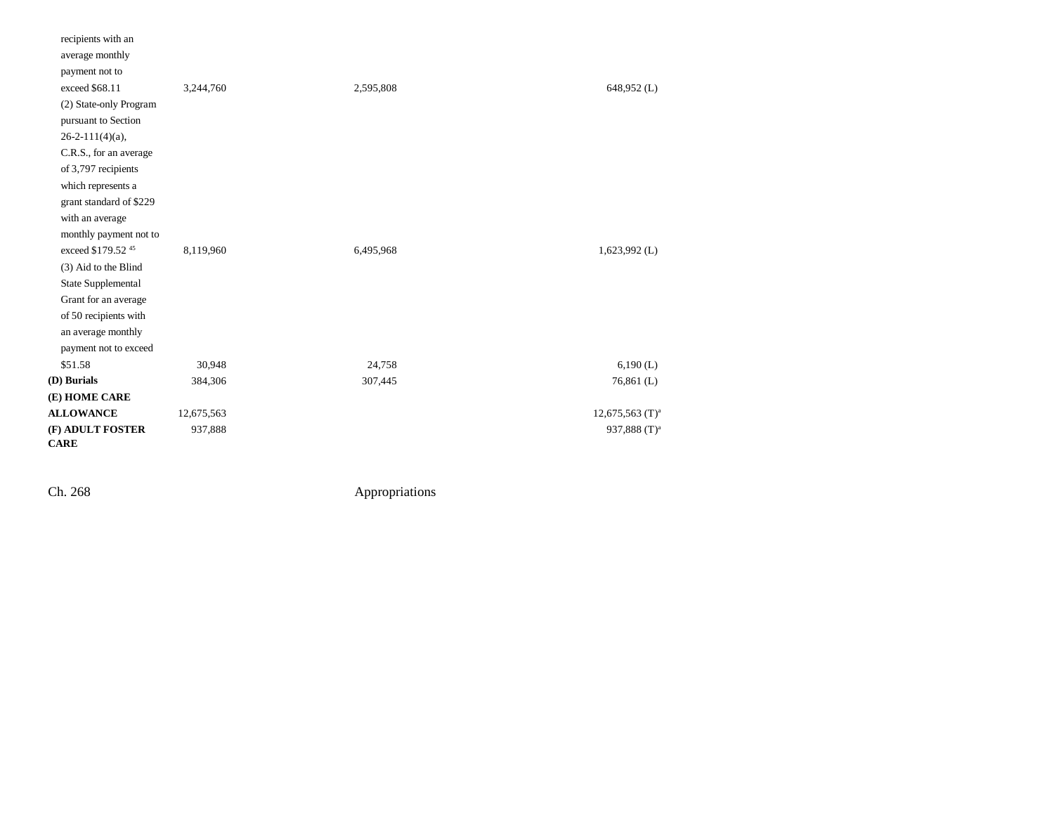| recipients with an            |            |           |                    |
|-------------------------------|------------|-----------|--------------------|
| average monthly               |            |           |                    |
| payment not to                |            |           |                    |
| exceed \$68.11                | 3,244,760  | 2,595,808 | 648,952 (L)        |
| (2) State-only Program        |            |           |                    |
| pursuant to Section           |            |           |                    |
| $26-2-111(4)(a)$ ,            |            |           |                    |
| C.R.S., for an average        |            |           |                    |
| of 3,797 recipients           |            |           |                    |
| which represents a            |            |           |                    |
| grant standard of \$229       |            |           |                    |
| with an average               |            |           |                    |
| monthly payment not to        |            |           |                    |
| exceed \$179.52 <sup>45</sup> | 8,119,960  | 6,495,968 | $1,623,992$ (L)    |
| (3) Aid to the Blind          |            |           |                    |
| State Supplemental            |            |           |                    |
| Grant for an average          |            |           |                    |
| of 50 recipients with         |            |           |                    |
| an average monthly            |            |           |                    |
| payment not to exceed         |            |           |                    |
| \$51.58                       | 30,948     | 24,758    | 6,190(L)           |
| (D) Burials                   | 384,306    | 307,445   | $76,861$ (L)       |
| (E) HOME CARE                 |            |           |                    |
| <b>ALLOWANCE</b>              | 12,675,563 |           | 12,675,563 $(T)^a$ |
| (F) ADULT FOSTER              | 937,888    |           | 937,888 $(T)^a$    |
| <b>CARE</b>                   |            |           |                    |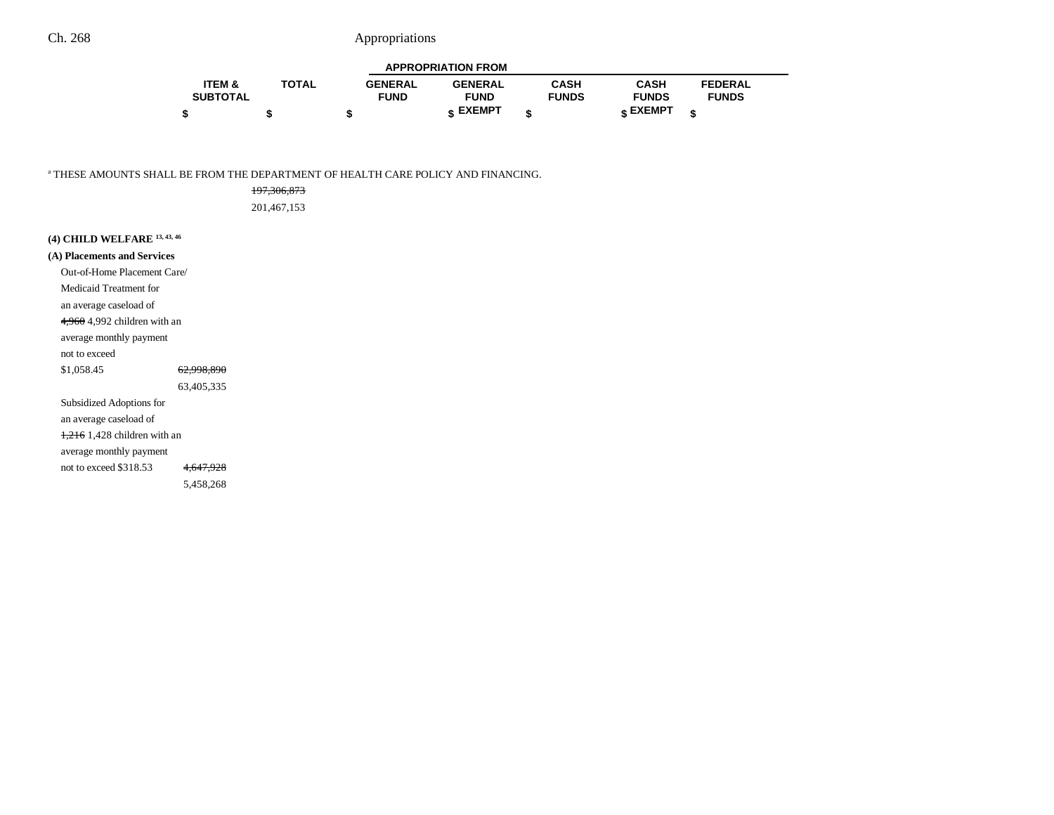| <b>APPROPRIATION FROM</b> |              |                |                 |              |                 |                |  |
|---------------------------|--------------|----------------|-----------------|--------------|-----------------|----------------|--|
| <b>ITEM &amp;</b>         | <b>TOTAL</b> | <b>GENERAL</b> | <b>GENERAL</b>  | CASH         | <b>CASH</b>     | <b>FEDERAL</b> |  |
| <b>SUBTOTAL</b>           |              | <b>FUND</b>    | <b>FUND</b>     | <b>FUNDS</b> | <b>FUNDS</b>    | <b>FUNDS</b>   |  |
|                           |              |                | <b>« EXEMPT</b> |              | <b>« EXEMPT</b> |                |  |

a THESE AMOUNTS SHALL BE FROM THE DEPARTMENT OF HEALTH CARE POLICY AND FINANCING.

| 197, 306, 873 |  |
|---------------|--|
| 201.467.153   |  |
|               |  |
|               |  |

| (4) CHILD WELFARE 13, 43, 46           |                       |
|----------------------------------------|-----------------------|
| (A) Placements and Services            |                       |
| Out-of-Home Placement Care/            |                       |
| Medicaid Treatment for                 |                       |
| an average caseload of                 |                       |
| 4.960 4.992 children with an           |                       |
| average monthly payment                |                       |
| not to exceed                          |                       |
| \$1,058.45                             | <del>62.998.890</del> |
|                                        | 63.405.335            |
| Subsidized Adoptions for               |                       |
| an average caseload of                 |                       |
| $\frac{1.216}{1.428}$ children with an |                       |
| average monthly payment                |                       |
| not to exceed \$318.53                 |                       |

5,458,268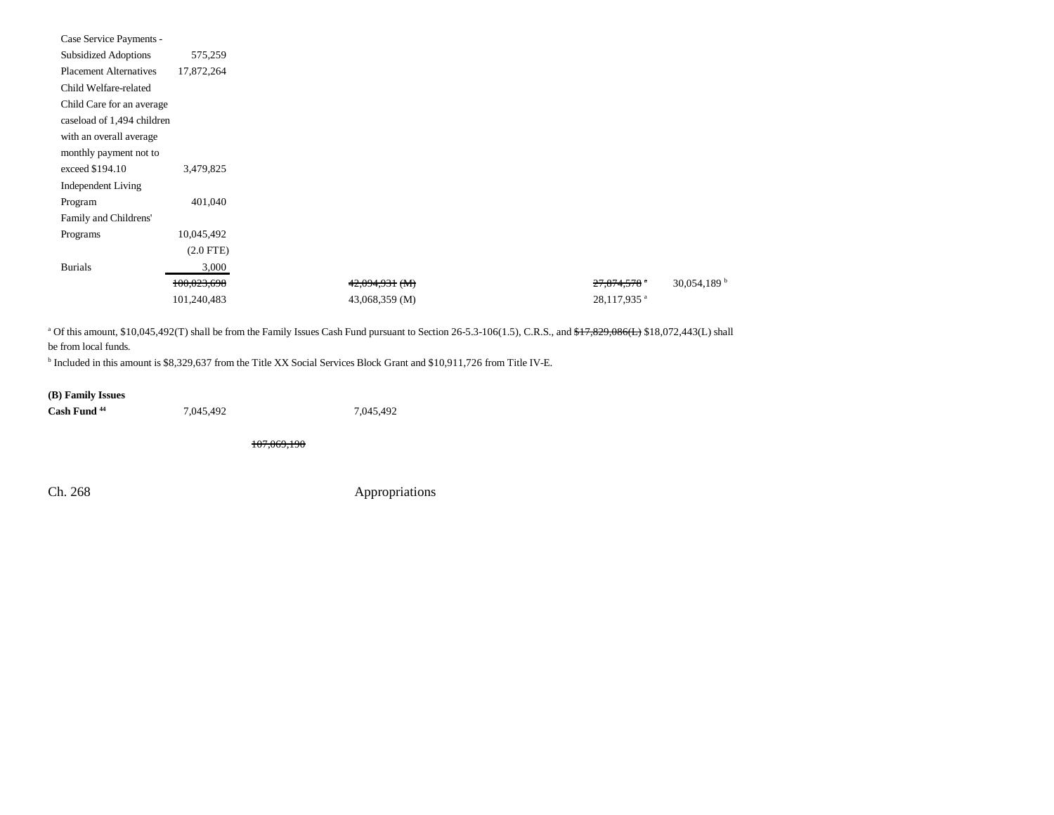| Case Service Payments -       |             |
|-------------------------------|-------------|
| <b>Subsidized Adoptions</b>   | 575,259     |
| <b>Placement Alternatives</b> | 17,872,264  |
| Child Welfare-related         |             |
| Child Care for an average     |             |
| caseload of 1,494 children    |             |
| with an overall average       |             |
| monthly payment not to        |             |
| exceed \$194.10               | 3,479,825   |
| <b>Independent Living</b>     |             |
| Program                       | 401,040     |
| Family and Childrens'         |             |
| Programs                      | 10,045,492  |
|                               | $(2.0$ FTE) |
| <b>Burials</b>                | 3,000       |
|                               | 100,023,698 |
|                               | 101,240,483 |

<sup>a</sup> Of this amount, \$10,045,492(T) shall be from the Family Issues Cash Fund pursuant to Section 26-5.3-106(1.5), C.R.S., and  $f7,829,086$ (E) \$18,072,443(L) shall be from local funds.

<sup>b</sup> Included in this amount is \$8,329,637 from the Title XX Social Services Block Grant and \$10,911,726 from Title IV-E.

## **(B) Family Issues**

| Cash Fund <sup>44</sup> | 7,045,492 | 7,045,492 |
|-------------------------|-----------|-----------|
|-------------------------|-----------|-----------|

107,069,190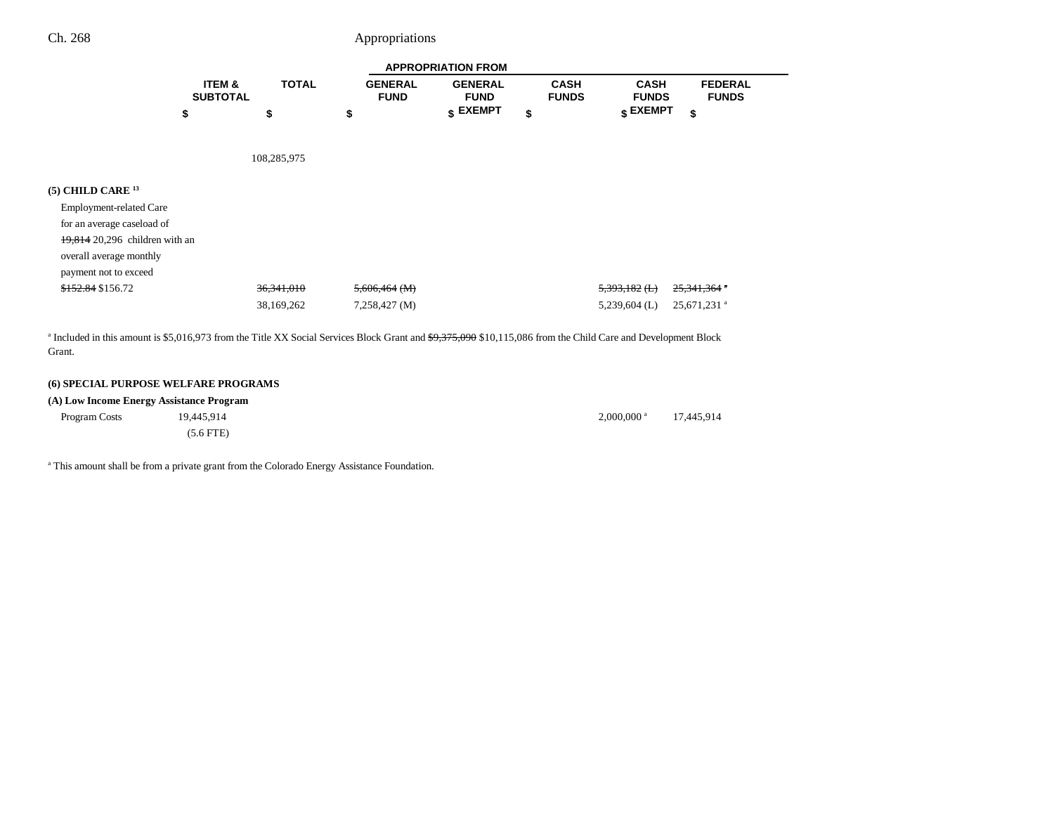|                                | <b>APPROPRIATION FROM</b>            |              |                               |                               |                             |                                  |                                |
|--------------------------------|--------------------------------------|--------------|-------------------------------|-------------------------------|-----------------------------|----------------------------------|--------------------------------|
|                                | <b>ITEM &amp;</b><br><b>SUBTOTAL</b> | <b>TOTAL</b> | <b>GENERAL</b><br><b>FUND</b> | <b>GENERAL</b><br><b>FUND</b> | <b>CASH</b><br><b>FUNDS</b> | <b>CASH</b><br><b>FUNDS</b>      | <b>FEDERAL</b><br><b>FUNDS</b> |
|                                | \$                                   | \$           | \$                            | $$$ EXEMPT                    | \$                          | $\boldsymbol{\mathsf{s}}$ EXEMPT | \$                             |
|                                |                                      | 108,285,975  |                               |                               |                             |                                  |                                |
|                                |                                      |              |                               |                               |                             |                                  |                                |
| $(5)$ CHILD CARE $^{13}$       |                                      |              |                               |                               |                             |                                  |                                |
| <b>Employment-related Care</b> |                                      |              |                               |                               |                             |                                  |                                |
| for an average caseload of     |                                      |              |                               |                               |                             |                                  |                                |
| 19,814 20,296 children with an |                                      |              |                               |                               |                             |                                  |                                |
| overall average monthly        |                                      |              |                               |                               |                             |                                  |                                |
| payment not to exceed          |                                      |              |                               |                               |                             |                                  |                                |
| <del>\$152.84</del> \$156.72   |                                      | 36, 341, 010 | $5,606,464$ (M)               |                               |                             | $5,393,182$ (L)                  | $25,341,364$ *                 |

38,169,262 7,258,427 (M) 5,239,604 (L) 25,671,231 a

<sup>a</sup> Included in this amount is \$5,016,973 from the Title XX Social Services Block Grant and  $\frac{49,375,090 \text{ $10,115,086}}{10,115,086}$  from the Child Care and Development Block Grant.

#### **(6) SPECIAL PURPOSE WELFARE PROGRAMS**

### **(A) Low Income Energy Assistance Program**

| Program Costs | 19.445.914     | $2.000,000$ <sup>a</sup> | 17.445.914 |
|---------------|----------------|--------------------------|------------|
|               | $(5.6$ FTE $)$ |                          |            |

<sup>a</sup> This amount shall be from a private grant from the Colorado Energy Assistance Foundation.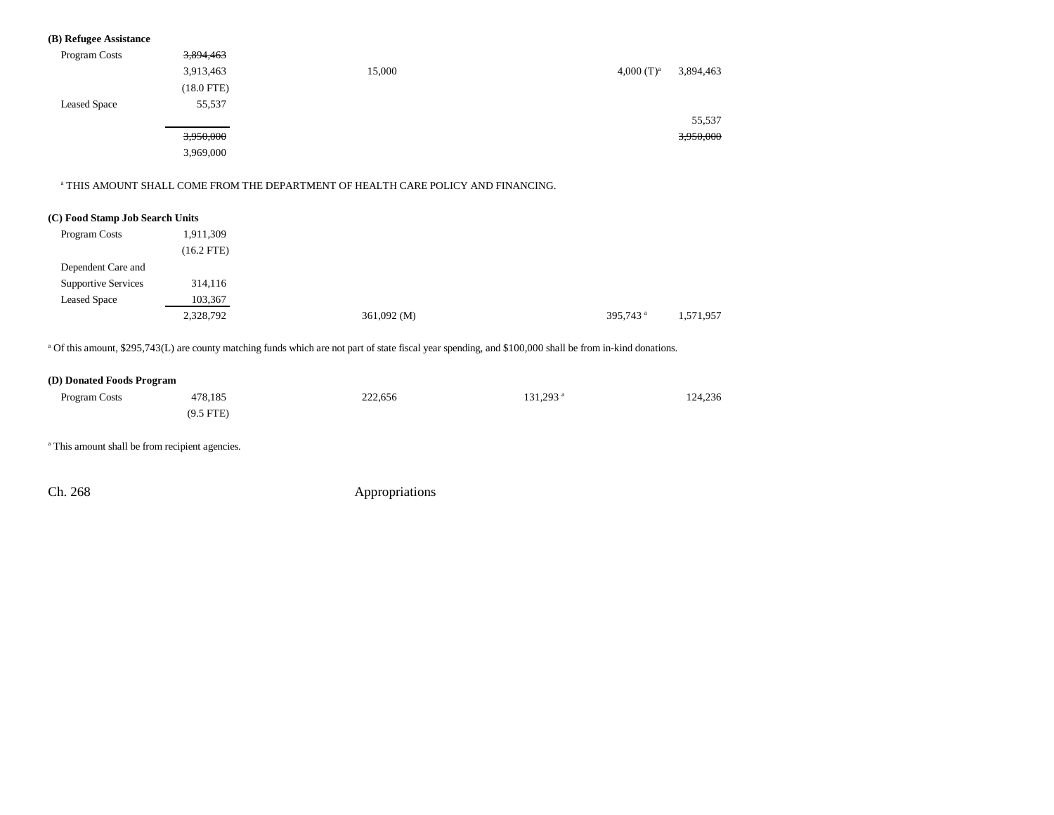## **(B) Refugee Assistance**

| Program Costs       | 3,894,463    |        |                            |
|---------------------|--------------|--------|----------------------------|
|                     | 3,913,463    | 15,000 | 3,894,463<br>4,000 $(T)^a$ |
|                     | $(18.0$ FTE) |        |                            |
| <b>Leased Space</b> | 55,537       |        |                            |
|                     |              |        | 55,537                     |
|                     | 3,950,000    |        | 3,950,000                  |
|                     | 3,969,000    |        |                            |

#### a THIS AMOUNT SHALL COME FROM THE DEPARTMENT OF HEALTH CARE POLICY AND FINANCING.

#### **(C) Food Stamp Job Search Units**

| 1,911,309    |             |                      |           |
|--------------|-------------|----------------------|-----------|
| $(16.2$ FTE) |             |                      |           |
|              |             |                      |           |
| 314,116      |             |                      |           |
| 103,367      |             |                      |           |
| 2,328,792    | 361,092 (M) | 395,743 <sup>a</sup> | 1,571,957 |
|              |             |                      |           |

<sup>a</sup> Of this amount, \$295,743(L) are county matching funds which are not part of state fiscal year spending, and \$100,000 shall be from in-kind donations.

### **(D) Donated Foods Program**

| Program Costs | 478,185     | 222,656 | 131,293 <sup>a</sup> | 124,236 |
|---------------|-------------|---------|----------------------|---------|
|               | $(9.5$ FTE) |         |                      |         |

a This amount shall be from recipient agencies.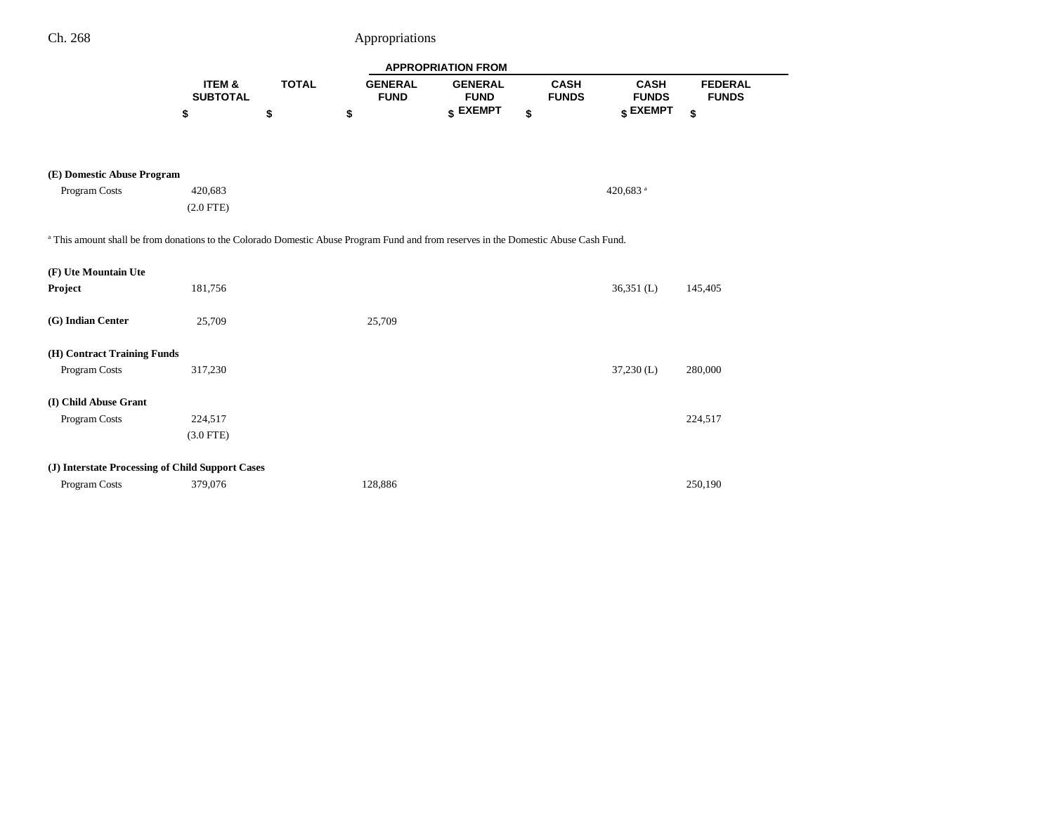÷

|                                                                                                                                                 |                           |              |                               | <b>APPROPRIATION FROM</b>     |                             |                             |                                |
|-------------------------------------------------------------------------------------------------------------------------------------------------|---------------------------|--------------|-------------------------------|-------------------------------|-----------------------------|-----------------------------|--------------------------------|
|                                                                                                                                                 | ITEM &<br><b>SUBTOTAL</b> | <b>TOTAL</b> | <b>GENERAL</b><br><b>FUND</b> | <b>GENERAL</b><br><b>FUND</b> | <b>CASH</b><br><b>FUNDS</b> | <b>CASH</b><br><b>FUNDS</b> | <b>FEDERAL</b><br><b>FUNDS</b> |
|                                                                                                                                                 | \$                        | \$           | \$                            | \$ EXEMPT                     | \$                          | \$ EXEMPT                   | \$                             |
|                                                                                                                                                 |                           |              |                               |                               |                             |                             |                                |
|                                                                                                                                                 |                           |              |                               |                               |                             |                             |                                |
| (E) Domestic Abuse Program                                                                                                                      |                           |              |                               |                               |                             |                             |                                |
| Program Costs                                                                                                                                   | 420,683                   |              |                               |                               |                             | 420,683 <sup>a</sup>        |                                |
|                                                                                                                                                 | $(2.0$ FTE)               |              |                               |                               |                             |                             |                                |
|                                                                                                                                                 |                           |              |                               |                               |                             |                             |                                |
| <sup>a</sup> This amount shall be from donations to the Colorado Domestic Abuse Program Fund and from reserves in the Domestic Abuse Cash Fund. |                           |              |                               |                               |                             |                             |                                |
| (F) Ute Mountain Ute                                                                                                                            |                           |              |                               |                               |                             |                             |                                |
| Project                                                                                                                                         | 181,756                   |              |                               |                               |                             | $36,351$ (L)                | 145,405                        |
|                                                                                                                                                 |                           |              |                               |                               |                             |                             |                                |
| (G) Indian Center                                                                                                                               | 25,709                    |              | 25,709                        |                               |                             |                             |                                |
|                                                                                                                                                 |                           |              |                               |                               |                             |                             |                                |
| (H) Contract Training Funds                                                                                                                     |                           |              |                               |                               |                             |                             |                                |
| Program Costs                                                                                                                                   | 317,230                   |              |                               |                               |                             | $37,230$ (L)                | 280,000                        |
|                                                                                                                                                 |                           |              |                               |                               |                             |                             |                                |
| (I) Child Abuse Grant                                                                                                                           |                           |              |                               |                               |                             |                             |                                |
| Program Costs                                                                                                                                   | 224,517                   |              |                               |                               |                             |                             | 224,517                        |
|                                                                                                                                                 | $(3.0$ FTE)               |              |                               |                               |                             |                             |                                |
| (J) Interstate Processing of Child Support Cases                                                                                                |                           |              |                               |                               |                             |                             |                                |
| Program Costs                                                                                                                                   | 379,076                   |              | 128,886                       |                               |                             |                             | 250,190                        |
|                                                                                                                                                 |                           |              |                               |                               |                             |                             |                                |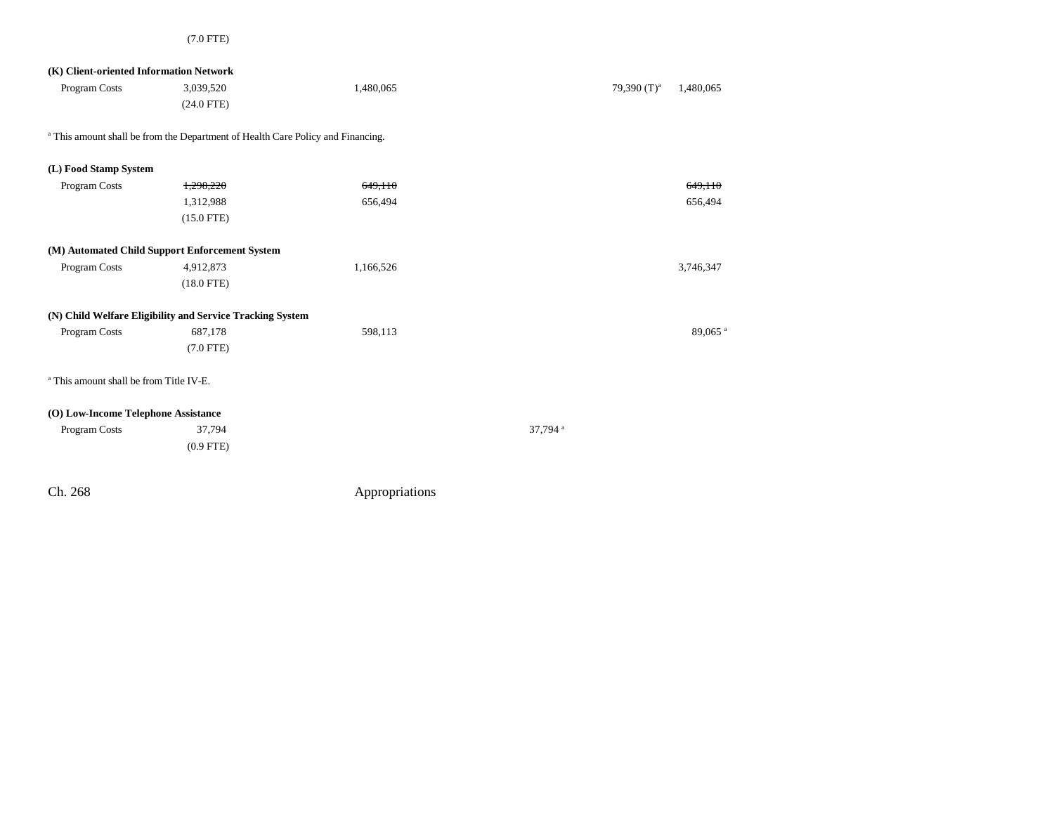| (K) Client-oriented Information Network            |                                                                                            |           |                     |                |                     |
|----------------------------------------------------|--------------------------------------------------------------------------------------------|-----------|---------------------|----------------|---------------------|
| Program Costs                                      | 3,039,520                                                                                  | 1,480,065 |                     | 79,390 $(T)^a$ | 1,480,065           |
|                                                    | $(24.0$ FTE)                                                                               |           |                     |                |                     |
|                                                    | <sup>a</sup> This amount shall be from the Department of Health Care Policy and Financing. |           |                     |                |                     |
| (L) Food Stamp System                              |                                                                                            |           |                     |                |                     |
| Program Costs                                      | 1,298,220                                                                                  | 649,110   |                     |                | 649,110             |
|                                                    | 1,312,988                                                                                  | 656,494   |                     |                | 656,494             |
|                                                    | $(15.0$ FTE)                                                                               |           |                     |                |                     |
|                                                    | (M) Automated Child Support Enforcement System                                             |           |                     |                |                     |
| Program Costs                                      | 4,912,873                                                                                  | 1,166,526 |                     |                | 3,746,347           |
|                                                    | $(18.0$ FTE)                                                                               |           |                     |                |                     |
|                                                    | (N) Child Welfare Eligibility and Service Tracking System                                  |           |                     |                |                     |
| Program Costs                                      | 687,178                                                                                    | 598,113   |                     |                | 89,065 <sup>a</sup> |
|                                                    | $(7.0$ FTE)                                                                                |           |                     |                |                     |
| <sup>a</sup> This amount shall be from Title IV-E. |                                                                                            |           |                     |                |                     |
| (O) Low-Income Telephone Assistance                |                                                                                            |           |                     |                |                     |
| Program Costs                                      | 37,794                                                                                     |           | 37,794 <sup>a</sup> |                |                     |
|                                                    | $(0.9$ FTE)                                                                                |           |                     |                |                     |
|                                                    |                                                                                            |           |                     |                |                     |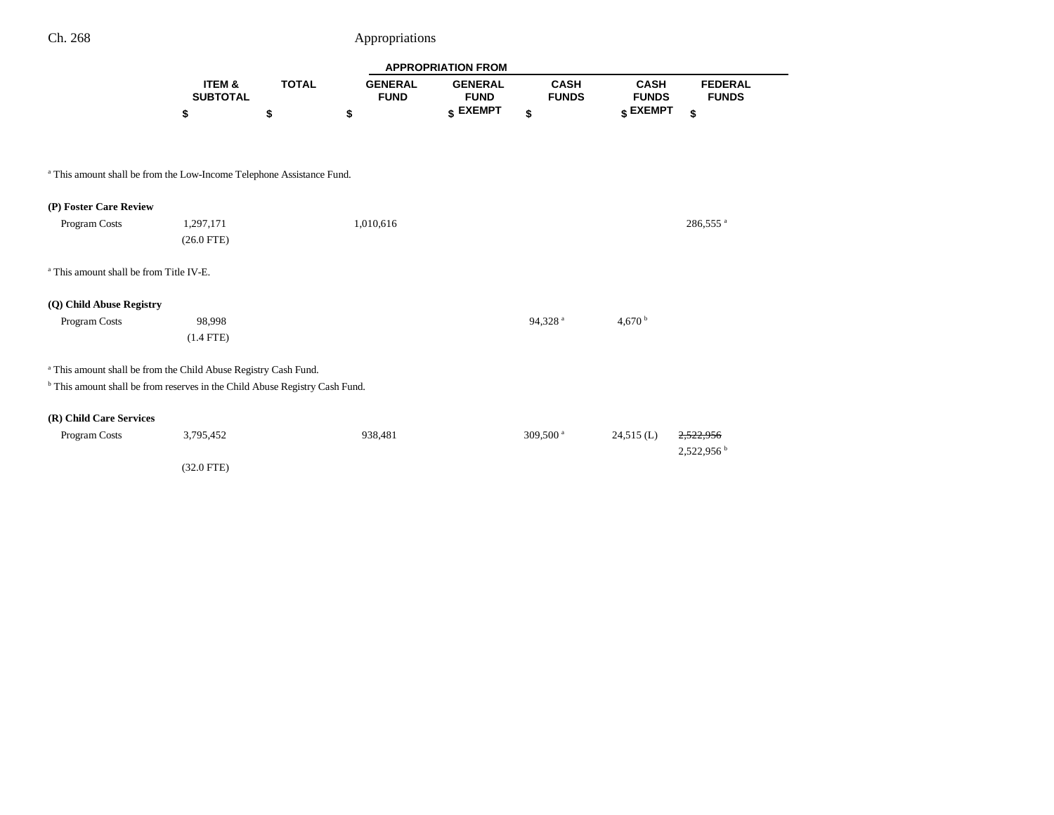÷

|                                                                                        |                           |              |                               | <b>APPROPRIATION FROM</b>     |                             |                             |                                |
|----------------------------------------------------------------------------------------|---------------------------|--------------|-------------------------------|-------------------------------|-----------------------------|-----------------------------|--------------------------------|
|                                                                                        | ITEM &<br><b>SUBTOTAL</b> | <b>TOTAL</b> | <b>GENERAL</b><br><b>FUND</b> | <b>GENERAL</b><br><b>FUND</b> | <b>CASH</b><br><b>FUNDS</b> | <b>CASH</b><br><b>FUNDS</b> | <b>FEDERAL</b><br><b>FUNDS</b> |
|                                                                                        | \$                        | \$           | \$                            | \$ EXEMPT                     | \$                          | \$ EXEMPT                   | \$                             |
|                                                                                        |                           |              |                               |                               |                             |                             |                                |
| <sup>a</sup> This amount shall be from the Low-Income Telephone Assistance Fund.       |                           |              |                               |                               |                             |                             |                                |
| (P) Foster Care Review                                                                 |                           |              |                               |                               |                             |                             |                                |
| Program Costs                                                                          | 1,297,171                 |              | 1,010,616                     |                               |                             |                             | 286,555 <sup>a</sup>           |
|                                                                                        | $(26.0$ FTE)              |              |                               |                               |                             |                             |                                |
| <sup>a</sup> This amount shall be from Title IV-E.                                     |                           |              |                               |                               |                             |                             |                                |
| (Q) Child Abuse Registry                                                               |                           |              |                               |                               |                             |                             |                                |
| Program Costs                                                                          | 98,998                    |              |                               |                               | 94,328 <sup>a</sup>         | 4.670 $^{\rm b}$            |                                |
|                                                                                        | $(1.4$ FTE)               |              |                               |                               |                             |                             |                                |
| <sup>a</sup> This amount shall be from the Child Abuse Registry Cash Fund.             |                           |              |                               |                               |                             |                             |                                |
| <sup>b</sup> This amount shall be from reserves in the Child Abuse Registry Cash Fund. |                           |              |                               |                               |                             |                             |                                |
| (R) Child Care Services                                                                |                           |              |                               |                               |                             |                             |                                |
| Program Costs                                                                          | 3,795,452                 |              | 938,481                       |                               | 309,500 <sup>a</sup>        | $24,515$ (L)                |                                |
|                                                                                        |                           |              |                               |                               |                             |                             | 2,522,956                      |
|                                                                                        | $(32.0$ FTE)              |              |                               |                               |                             |                             |                                |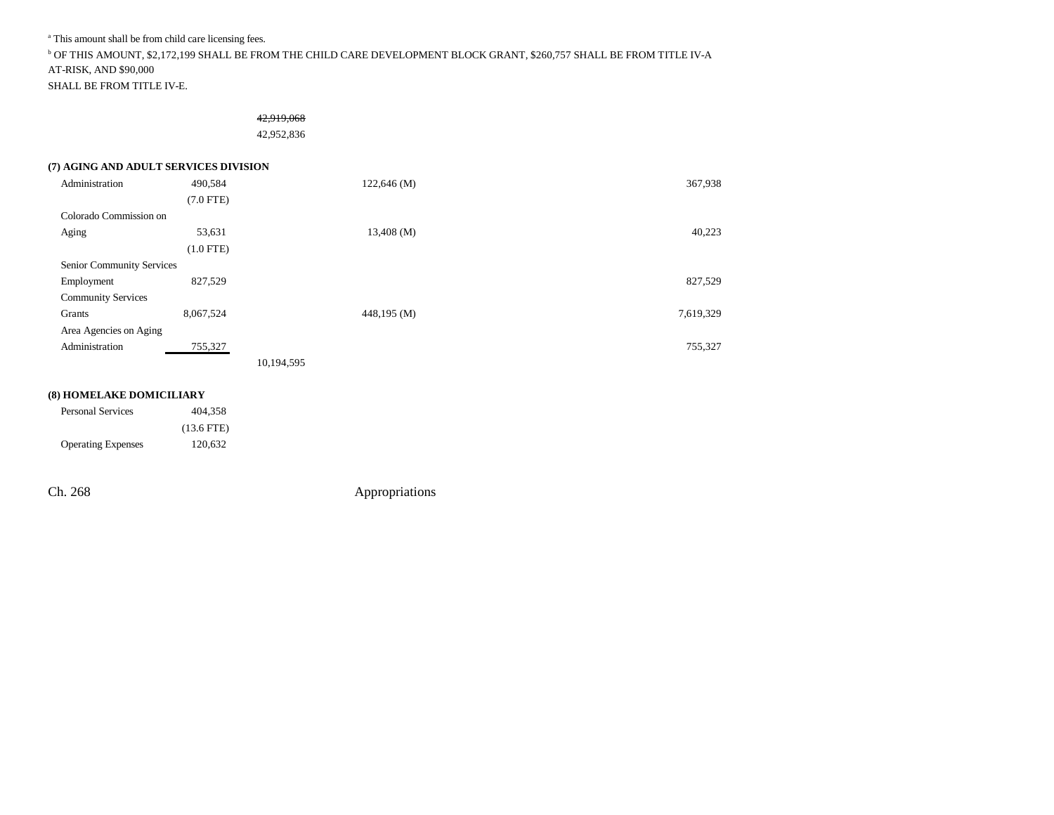a This amount shall be from child care licensing fees.

b OF THIS AMOUNT, \$2,172,199 SHALL BE FROM THE CHILD CARE DEVELOPMENT BLOCK GRANT, \$260,757 SHALL BE FROM TITLE IV-A AT-RISK, AND \$90,000

SHALL BE FROM TITLE IV-E.

# 42,919,068

42,952,836

## **(7) AGING AND ADULT SERVICES DIVISION**

| Administration            | 490,584     |            | 122,646 (M)  | 367,938   |
|---------------------------|-------------|------------|--------------|-----------|
|                           | $(7.0$ FTE) |            |              |           |
| Colorado Commission on    |             |            |              |           |
| Aging                     | 53,631      |            | $13,408$ (M) | 40,223    |
|                           | $(1.0$ FTE) |            |              |           |
| Senior Community Services |             |            |              |           |
| Employment                | 827,529     |            |              | 827,529   |
| <b>Community Services</b> |             |            |              |           |
| Grants                    | 8,067,524   |            | 448,195 (M)  | 7,619,329 |
| Area Agencies on Aging    |             |            |              |           |
| Administration            | 755,327     |            |              | 755,327   |
|                           |             | 10,194,595 |              |           |

#### **(8) HOMELAKE DOMICILIARY**

| <b>Personal Services</b>  | 404.358      |
|---------------------------|--------------|
|                           | $(13.6$ FTE) |
| <b>Operating Expenses</b> | 120.632      |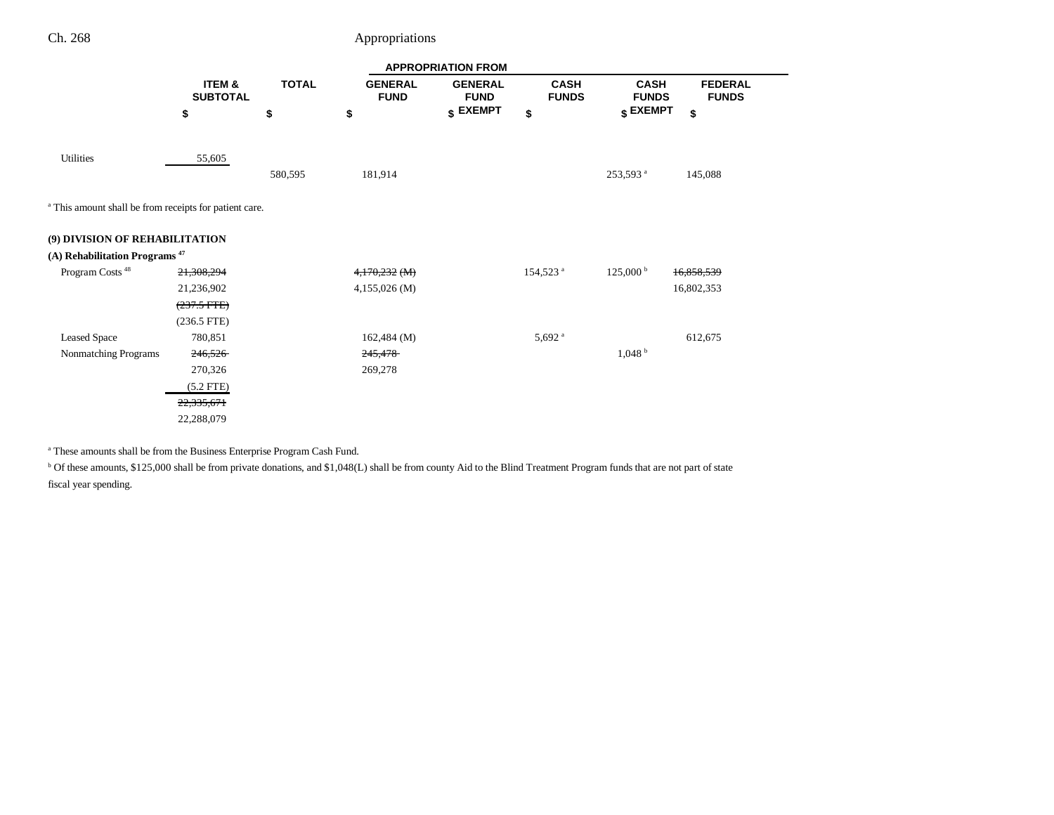|                                                                   |                           |              |                               | <b>APPROPRIATION FROM</b>     |                             |                             |                                |
|-------------------------------------------------------------------|---------------------------|--------------|-------------------------------|-------------------------------|-----------------------------|-----------------------------|--------------------------------|
|                                                                   | ITEM &<br><b>SUBTOTAL</b> | <b>TOTAL</b> | <b>GENERAL</b><br><b>FUND</b> | <b>GENERAL</b><br><b>FUND</b> | <b>CASH</b><br><b>FUNDS</b> | <b>CASH</b><br><b>FUNDS</b> | <b>FEDERAL</b><br><b>FUNDS</b> |
|                                                                   | \$                        | \$           | \$                            | \$ EXEMPT                     | \$                          | \$ EXEMPT                   | \$                             |
|                                                                   |                           |              |                               |                               |                             |                             |                                |
| <b>Utilities</b>                                                  | 55,605                    | 580,595      | 181,914                       |                               |                             | 253,593 <sup>a</sup>        | 145,088                        |
| <sup>a</sup> This amount shall be from receipts for patient care. |                           |              |                               |                               |                             |                             |                                |
| (9) DIVISION OF REHABILITATION                                    |                           |              |                               |                               |                             |                             |                                |
| (A) Rehabilitation Programs <sup>47</sup>                         |                           |              |                               |                               |                             |                             |                                |
| Program Costs <sup>48</sup>                                       | 21,308,294                |              | 4,170,232 (M)                 |                               | 154,523 <sup>a</sup>        | $125,000^{\mathrm{b}}$      | 16,858,539                     |
|                                                                   | 21,236,902                |              | $4,155,026$ (M)               |                               |                             |                             | 16,802,353                     |
|                                                                   | $(237.5 \text{ FFE})$     |              |                               |                               |                             |                             |                                |
|                                                                   | $(236.5$ FTE)             |              |                               |                               |                             |                             |                                |
| <b>Leased Space</b>                                               | 780,851                   |              | $162,484 \ (M)$               |                               | $5,692$ <sup>a</sup>        |                             | 612,675                        |
| Nonmatching Programs                                              | 246,526                   |              | 245,478                       |                               |                             | 1,048 <sup>b</sup>          |                                |
|                                                                   | 270,326                   |              | 269,278                       |                               |                             |                             |                                |
|                                                                   | $(5.2$ FTE)               |              |                               |                               |                             |                             |                                |
|                                                                   | 22,335,671                |              |                               |                               |                             |                             |                                |
|                                                                   | 22,288,079                |              |                               |                               |                             |                             |                                |

a These amounts shall be from the Business Enterprise Program Cash Fund.

<sup>b</sup> Of these amounts, \$125,000 shall be from private donations, and \$1,048(L) shall be from county Aid to the Blind Treatment Program funds that are not part of state fiscal year spending.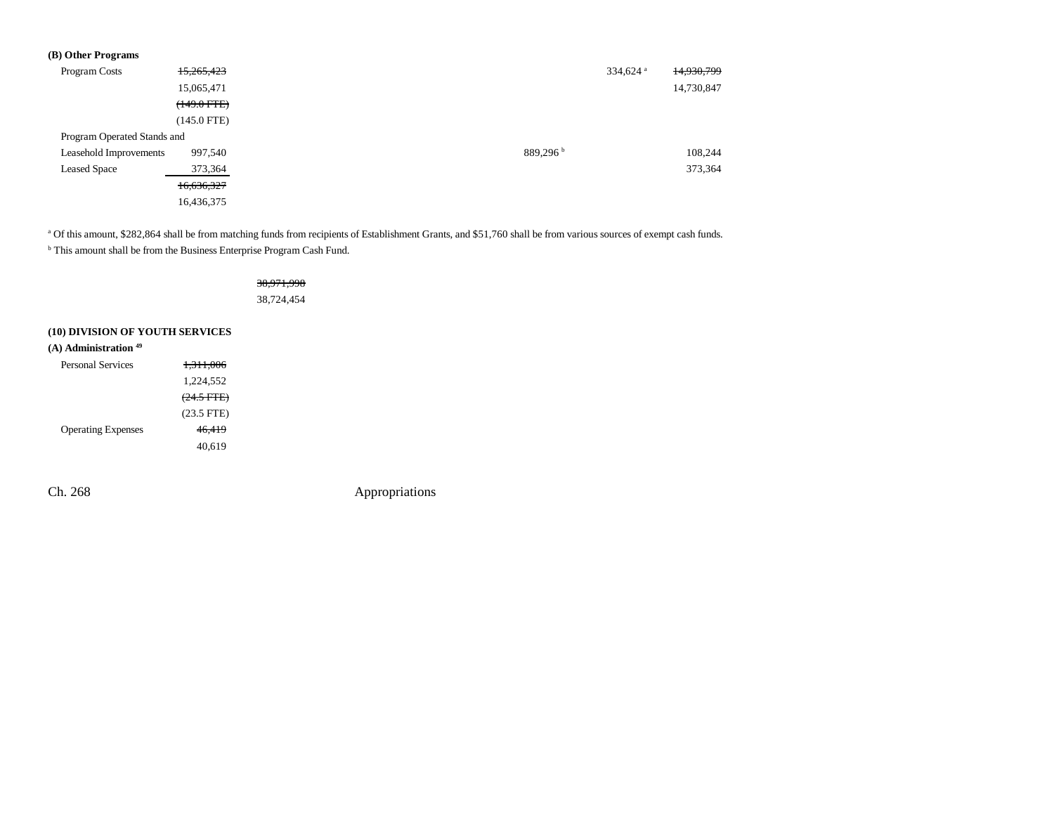| (B) Other Programs          |                  |                      |            |
|-----------------------------|------------------|----------------------|------------|
| Program Costs               | 15,265,423       | 334,624 <sup>a</sup> | 14,930,799 |
|                             | 15,065,471       |                      | 14,730,847 |
|                             | $(149.0$ FTE $)$ |                      |            |
|                             | $(145.0$ FTE)    |                      |            |
| Program Operated Stands and |                  |                      |            |
| Leasehold Improvements      | 997,540          | 889,296 <sup>b</sup> | 108,244    |
| <b>Leased Space</b>         | 373,364          |                      | 373,364    |
|                             | 16,636,327       |                      |            |
|                             | 16,436,375       |                      |            |

<sup>a</sup> Of this amount, \$282,864 shall be from matching funds from recipients of Establishment Grants, and \$51,760 shall be from various sources of exempt cash funds.

 $^{\rm b}$  This amount shall be from the Business Enterprise Program Cash Fund.

|                                                                       |                      | <del>38.971.9</del> |
|-----------------------------------------------------------------------|----------------------|---------------------|
|                                                                       |                      | 38,724,454          |
| (10) DIVISION OF YOUTH SERVICES<br>$(A)$ Administration <sup>49</sup> |                      |                     |
| <b>Personal Services</b>                                              | <del>1,311,006</del> |                     |
|                                                                       | 1,224,552            |                     |
|                                                                       | $(24.5 \text{ FFE})$ |                     |
|                                                                       | $(23.5$ FTE)         |                     |
| <b>Operating Expenses</b>                                             | 46.419               |                     |
|                                                                       | 40.619               |                     |
|                                                                       |                      |                     |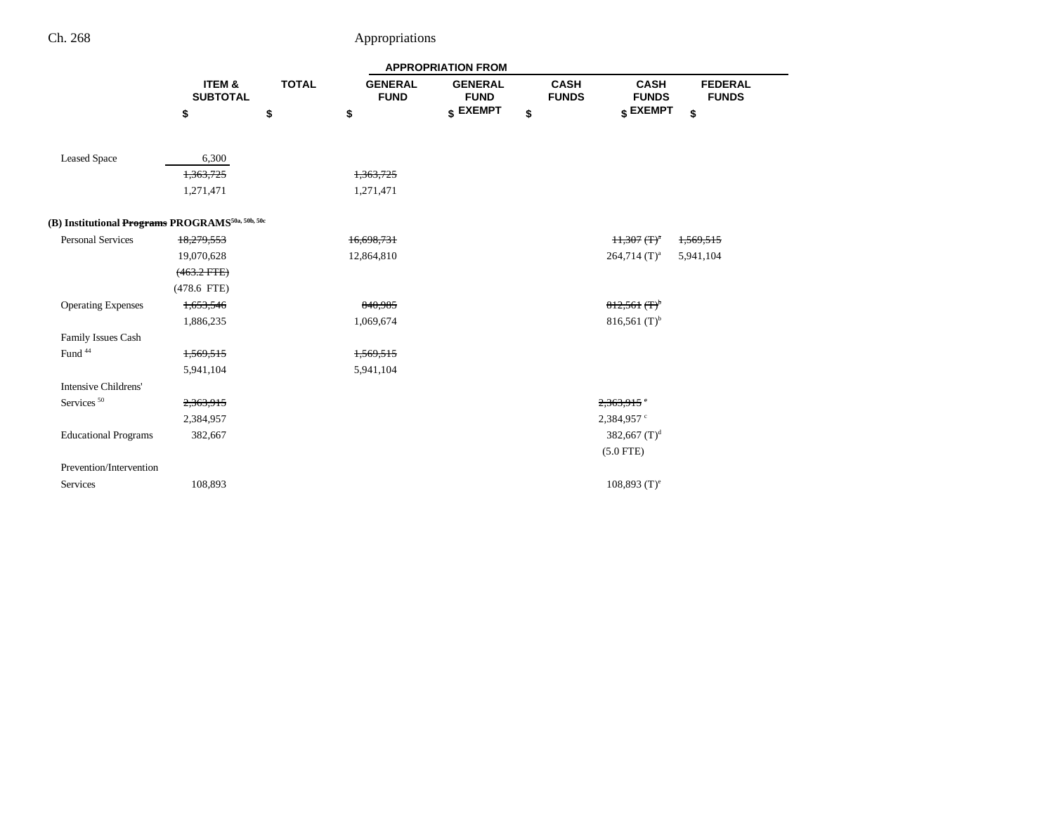|                                                              |                                      |              |                               | <b>APPROPRIATION FROM</b>     |                             |                             |                                |
|--------------------------------------------------------------|--------------------------------------|--------------|-------------------------------|-------------------------------|-----------------------------|-----------------------------|--------------------------------|
|                                                              | <b>ITEM &amp;</b><br><b>SUBTOTAL</b> | <b>TOTAL</b> | <b>GENERAL</b><br><b>FUND</b> | <b>GENERAL</b><br><b>FUND</b> | <b>CASH</b><br><b>FUNDS</b> | <b>CASH</b><br><b>FUNDS</b> | <b>FEDERAL</b><br><b>FUNDS</b> |
|                                                              | \$                                   | \$           | \$                            | \$ EXEMPT                     | \$                          | \$ EXEMPT                   | \$                             |
|                                                              |                                      |              |                               |                               |                             |                             |                                |
| <b>Leased Space</b>                                          | 6,300                                |              |                               |                               |                             |                             |                                |
|                                                              | 1,363,725                            |              | 1,363,725                     |                               |                             |                             |                                |
|                                                              | 1,271,471                            |              | 1,271,471                     |                               |                             |                             |                                |
| (B) Institutional Programs PROGRAMS <sup>50a, 50b, 50c</sup> |                                      |              |                               |                               |                             |                             |                                |
| <b>Personal Services</b>                                     | 18,279,553                           |              | 16,698,731                    |                               | $H$ , 307 $(T)^n$           |                             | 1,569,515                      |
|                                                              | 19,070,628                           |              | 12,864,810                    |                               | $264,714$ (T) <sup>a</sup>  |                             | 5,941,104                      |
|                                                              | $(463.2 FFE)$                        |              |                               |                               |                             |                             |                                |
|                                                              | $(478.6$ FTE)                        |              |                               |                               |                             |                             |                                |
| <b>Operating Expenses</b>                                    | 1,653,546                            |              | 840,985                       |                               | $812,561$ (T) <sup>b</sup>  |                             |                                |
|                                                              | 1,886,235                            |              | 1,069,674                     |                               | 816,561 $(T)^{b}$           |                             |                                |
| Family Issues Cash                                           |                                      |              |                               |                               |                             |                             |                                |
| Fund <sup>44</sup>                                           | 1,569,515                            |              | 1,569,515                     |                               |                             |                             |                                |
|                                                              | 5,941,104                            |              | 5,941,104                     |                               |                             |                             |                                |
| Intensive Childrens'                                         |                                      |              |                               |                               |                             |                             |                                |
| Services <sup>50</sup>                                       | 2,363,915                            |              |                               |                               | 2,363,915                   |                             |                                |
|                                                              | 2,384,957                            |              |                               |                               | 2,384,957 °                 |                             |                                |
| <b>Educational Programs</b>                                  | 382,667                              |              |                               |                               | 382,667 $(T)^d$             |                             |                                |
|                                                              |                                      |              |                               |                               | $(5.0$ FTE)                 |                             |                                |
| Prevention/Intervention                                      |                                      |              |                               |                               |                             |                             |                                |
| Services                                                     | 108,893                              |              |                               |                               | $108,893$ (T) <sup>e</sup>  |                             |                                |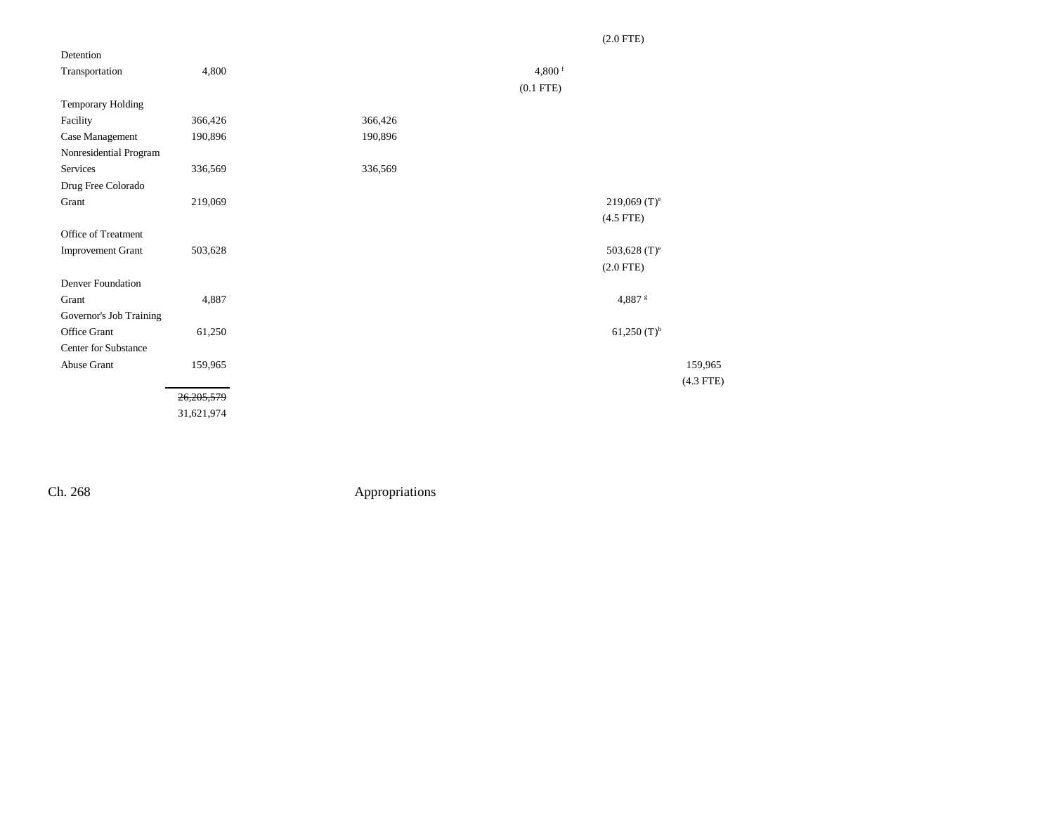| Detention                |              |         |                |                 |
|--------------------------|--------------|---------|----------------|-----------------|
| Transportation           | 4,800        |         | 4,800 $f$      |                 |
|                          |              |         | $(0.1$ FTE $)$ |                 |
| Temporary Holding        |              |         |                |                 |
| Facility                 | 366,426      | 366,426 |                |                 |
| Case Management          | 190,896      | 190,896 |                |                 |
| Nonresidential Program   |              |         |                |                 |
| Services                 | 336,569      | 336,569 |                |                 |
| Drug Free Colorado       |              |         |                |                 |
| Grant                    | 219,069      |         |                | 219,069 $(T)^e$ |
|                          |              |         |                | $(4.5$ FTE)     |
| Office of Treatment      |              |         |                |                 |
| <b>Improvement Grant</b> | 503,628      |         |                | 503,628 $(T)^e$ |
|                          |              |         |                | $(2.0$ FTE)     |
| Denver Foundation        |              |         |                |                 |
| Grant                    | 4,887        |         |                | 4,887 s         |
| Governor's Job Training  |              |         |                |                 |
| Office Grant             | 61,250       |         |                | 61,250 $(T)^h$  |
| Center for Substance     |              |         |                |                 |
| Abuse Grant              | 159,965      |         |                | 159,965         |
|                          |              |         |                | $(4.3$ FTE)     |
|                          | 26, 205, 579 |         |                |                 |
|                          | 31,621,974   |         |                |                 |

## (2.0 FTE)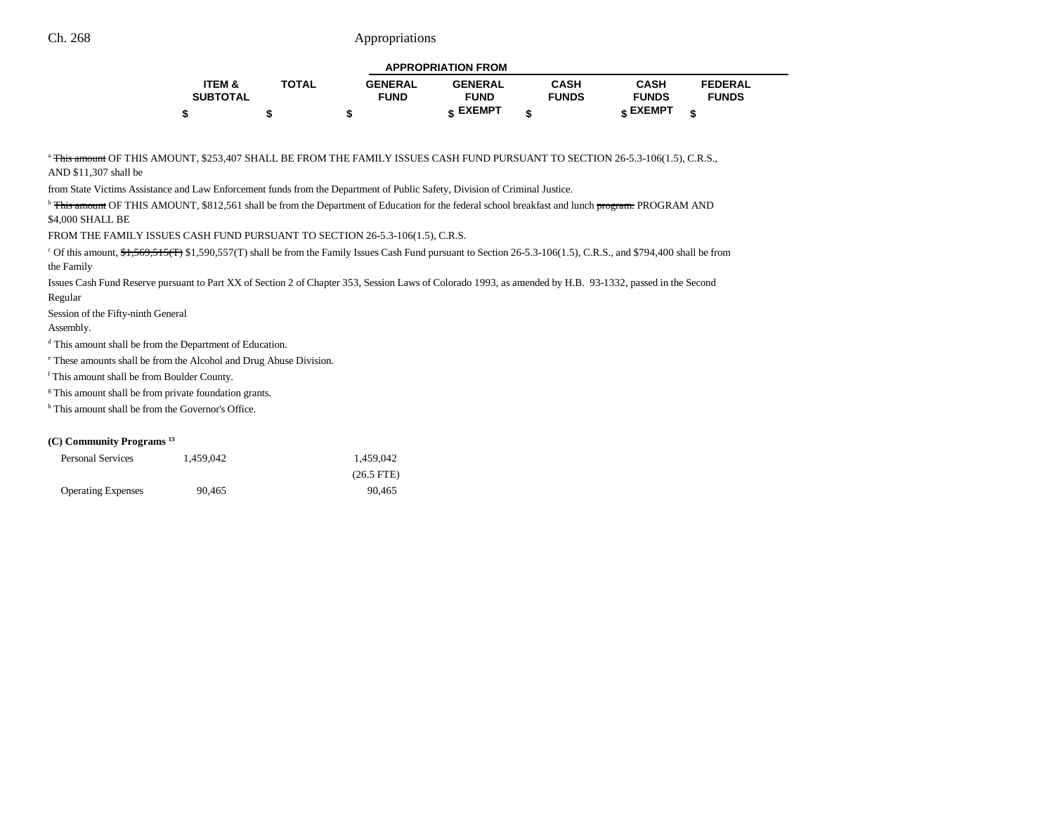|                 |              |                | <b>APPROPRIATION FROM</b> |              |                 |                |
|-----------------|--------------|----------------|---------------------------|--------------|-----------------|----------------|
| ITEM &          | <b>TOTAL</b> | <b>GENERAL</b> | <b>GENERAL</b>            | CASH         | <b>CASH</b>     | <b>FEDERAL</b> |
| <b>SUBTOTAL</b> |              | <b>FUND</b>    | <b>FUND</b>               | <b>FUNDS</b> | <b>FUNDS</b>    | <b>FUNDS</b>   |
|                 |              |                | <b>c</b> EXEMPT           |              | <b>e EXEMPT</b> |                |

<sup>a</sup> This amount OF THIS AMOUNT, \$253,407 SHALL BE FROM THE FAMILY ISSUES CASH FUND PURSUANT TO SECTION 26-5.3-106(1.5), C.R.S.,

AND \$11,307 shall be

from State Victims Assistance and Law Enforcement funds from the Department of Public Safety, Division of Criminal Justice.

<sup>b</sup> This amount OF THIS AMOUNT, \$812,561 shall be from the Department of Education for the federal school breakfast and lunch program. PROGRAM AND \$4,000 SHALL BE

FROM THE FAMILY ISSUES CASH FUND PURSUANT TO SECTION 26-5.3-106(1.5), C.R.S.

 $\rm ^c$  Of this amount,  $\rm \frac{4,569,515(T)}{31,590,557(T)}$  shall be from the Family Issues Cash Fund pursuant to Section 26-5.3-106(1.5), C.R.S., and \$794,400 shall be from the Family

Issues Cash Fund Reserve pursuant to Part XX of Section 2 of Chapter 353, Session Laws of Colorado 1993, as amended by H.B. 93-1332, passed in the Second Regular

Session of the Fifty-ninth General

Assembly.

d This amount shall be from the Department of Education.

e These amounts shall be from the Alcohol and Drug Abuse Division.

f This amount shall be from Boulder County.

<sup>g</sup> This amount shall be from private foundation grants.

<sup>h</sup> This amount shall be from the Governor's Office.

#### **(C) Community Programs 13**

| <b>Personal Services</b>  | 1.459.042 | 1.459.042    |
|---------------------------|-----------|--------------|
|                           |           | $(26.5$ FTE) |
| <b>Operating Expenses</b> | 90.465    | 90.465       |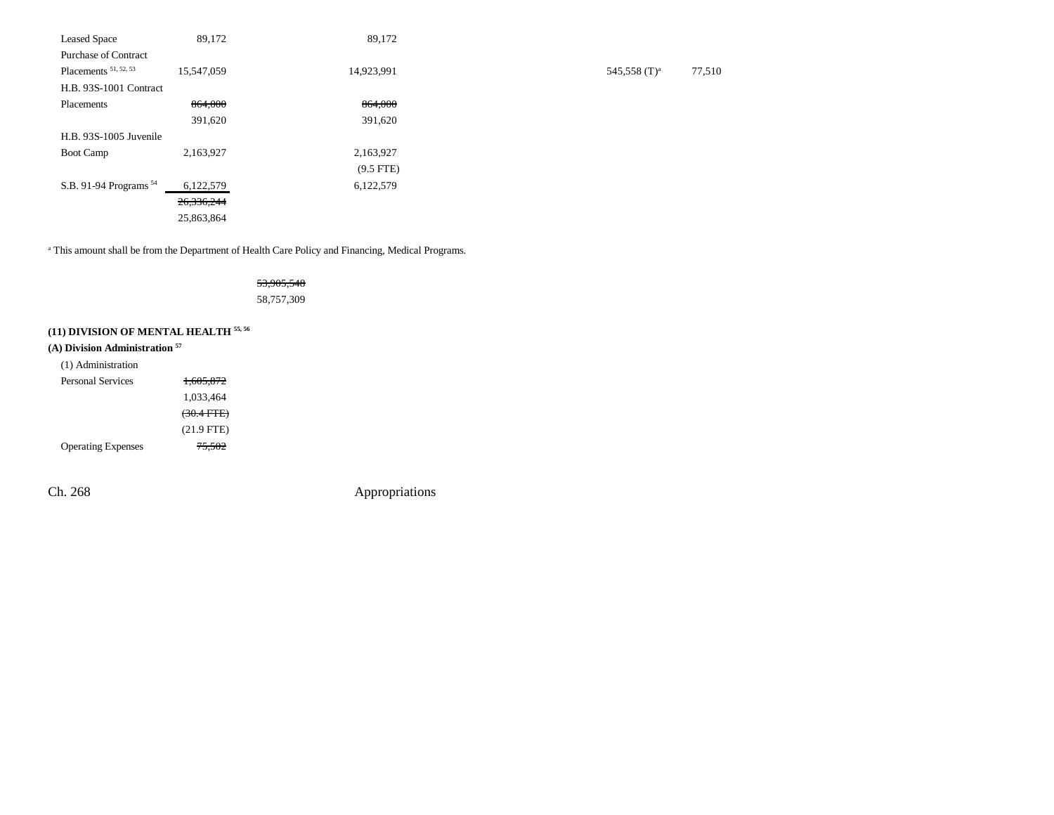| <b>Leased Space</b>               | 89,172     | 89,172      |                 |        |
|-----------------------------------|------------|-------------|-----------------|--------|
| <b>Purchase of Contract</b>       |            |             |                 |        |
| Placements <sup>51, 52, 53</sup>  | 15,547,059 | 14,923,991  | 545,558 $(T)^a$ | 77,510 |
| H.B. 93S-1001 Contract            |            |             |                 |        |
| Placements                        | 864,000    | 864,000     |                 |        |
|                                   | 391,620    | 391,620     |                 |        |
| H.B. 93S-1005 Juvenile            |            |             |                 |        |
| <b>Boot Camp</b>                  | 2,163,927  | 2,163,927   |                 |        |
|                                   |            | $(9.5$ FTE) |                 |        |
| S.B. 91-94 Programs <sup>54</sup> | 6,122,579  | 6,122,579   |                 |        |
|                                   | 26,336,244 |             |                 |        |
|                                   | 25,863,864 |             |                 |        |
|                                   |            |             |                 |        |

<sup>a</sup> This amount shall be from the Department of Health Care Policy and Financing, Medical Programs.

## 53,905,548 58,757,309

# **(11) DIVISION OF MENTAL HEALTH 55, 56**

# **(A) Division Administration 57**

| (1) Administration        |                      |
|---------------------------|----------------------|
| Personal Services         | 1.605.872            |
|                           | 1.033.464            |
|                           | $(30.4 \text{ FFE})$ |
|                           | $(21.9$ FTE)         |
| <b>Operating Expenses</b> | <del>75.502</del>    |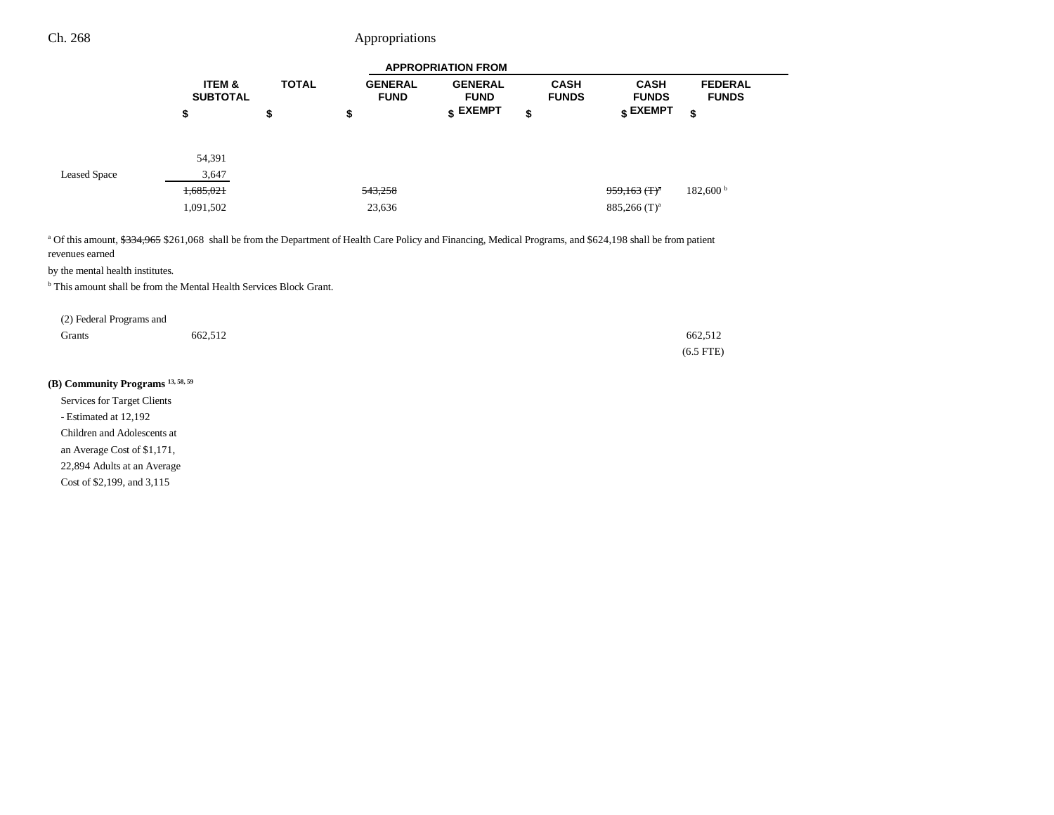|                     |                                      |              |                               | <b>APPROPRIATION FROM</b>     |                             |                                  |                                |
|---------------------|--------------------------------------|--------------|-------------------------------|-------------------------------|-----------------------------|----------------------------------|--------------------------------|
|                     | <b>ITEM &amp;</b><br><b>SUBTOTAL</b> | <b>TOTAL</b> | <b>GENERAL</b><br><b>FUND</b> | <b>GENERAL</b><br><b>FUND</b> | <b>CASH</b><br><b>FUNDS</b> | <b>CASH</b><br><b>FUNDS</b>      | <b>FEDERAL</b><br><b>FUNDS</b> |
|                     | \$                                   | \$           | \$                            | \$ EXEMPT                     | \$                          | $\boldsymbol{\mathsf{s}}$ EXEMPT | \$                             |
|                     | 54,391                               |              |                               |                               |                             |                                  |                                |
| <b>Leased Space</b> | 3,647                                |              |                               |                               |                             |                                  |                                |
|                     | 1,685,021                            |              | 543,258                       |                               |                             | $959,163$ (T) <sup>a</sup>       | 182,600 <sup>b</sup>           |
|                     | 1,091,502                            |              | 23,636                        |                               |                             | $885,266$ (T) <sup>a</sup>       |                                |

<sup>a</sup> Of this amount, \$334,965 \$261,068 shall be from the Department of Health Care Policy and Financing, Medical Programs, and \$624,198 shall be from patient revenues earned

by the mental health institutes.

b This amount shall be from the Mental Health Services Block Grant.

| (2) Federal Programs and |         |                |
|--------------------------|---------|----------------|
| Grants                   | 662,512 | 662,512        |
|                          |         | $(6.5$ FTE $)$ |

# **(B) Community Programs 13, 58, 59**

Services for Target Clients - Estimated at 12,192 Children and Adolescents at an Average Cost of \$1,171, 22,894 Adults at an Average

Cost of \$2,199, and 3,115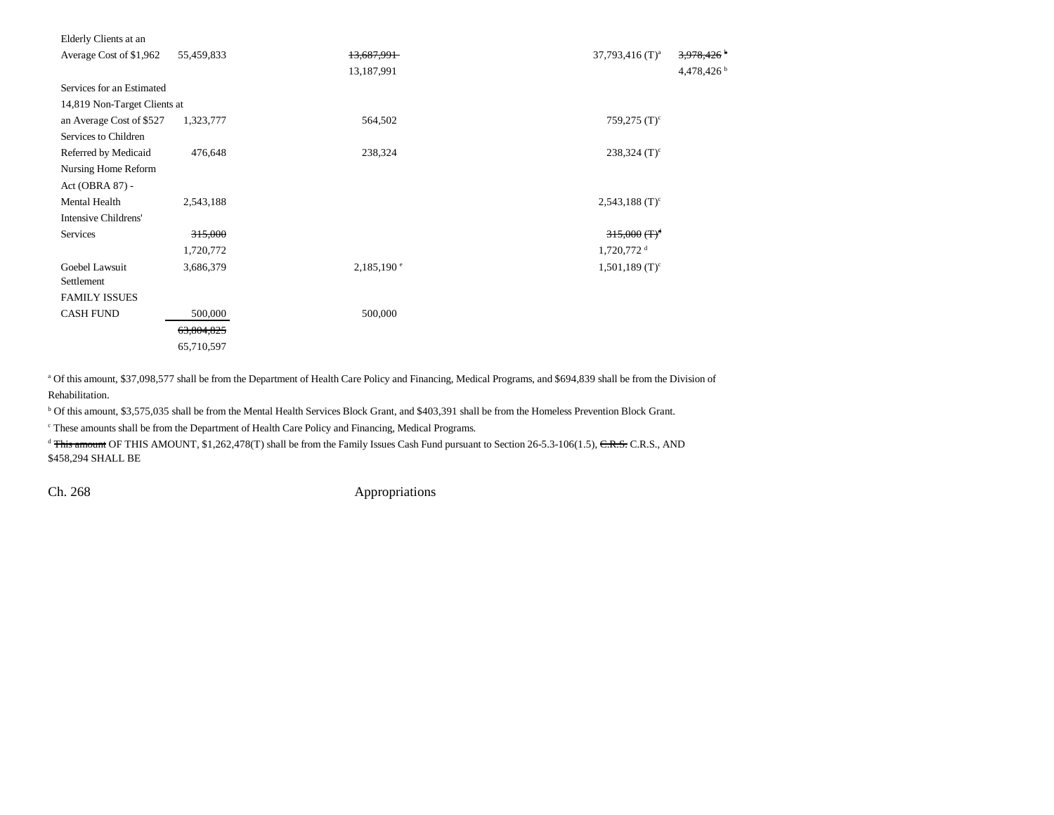| Elderly Clients at an        |            |                          |                                            |
|------------------------------|------------|--------------------------|--------------------------------------------|
| Average Cost of \$1,962      | 55,459,833 | 13,687,991               | $37,793,416$ (T) <sup>a</sup><br>3,978,426 |
|                              |            | 13,187,991               | 4,478,426 $†$                              |
| Services for an Estimated    |            |                          |                                            |
| 14,819 Non-Target Clients at |            |                          |                                            |
| an Average Cost of \$527     | 1,323,777  | 564,502                  | 759,275 $(T)^c$                            |
| Services to Children         |            |                          |                                            |
| Referred by Medicaid         | 476,648    | 238,324                  | $238,324$ (T) <sup>c</sup>                 |
| Nursing Home Reform          |            |                          |                                            |
| Act (OBRA 87) -              |            |                          |                                            |
| Mental Health                | 2,543,188  |                          | $2,543,188$ (T) <sup>c</sup>               |
| Intensive Childrens'         |            |                          |                                            |
| Services                     | 315,000    |                          | $315,000$ (T) <sup>d</sup>                 |
|                              | 1,720,772  | $1,720,772$ <sup>d</sup> |                                            |
| Goebel Lawsuit               | 3,686,379  | $2,185,190^{\circ}$      | $1,501,189$ (T) <sup>c</sup>               |
| Settlement                   |            |                          |                                            |
| <b>FAMILY ISSUES</b>         |            |                          |                                            |
| <b>CASH FUND</b>             | 500,000    | 500,000                  |                                            |
|                              | 63,804,825 |                          |                                            |
|                              | 65,710,597 |                          |                                            |

<sup>a</sup> Of this amount, \$37,098,577 shall be from the Department of Health Care Policy and Financing, Medical Programs, and \$694,839 shall be from the Division of

Rehabilitation.

b Of this amount, \$3,575,035 shall be from the Mental Health Services Block Grant, and \$403,391 shall be from the Homeless Prevention Block Grant.

c These amounts shall be from the Department of Health Care Policy and Financing, Medical Programs.

<sup>d</sup> This amount OF THIS AMOUNT, \$1,262,478(T) shall be from the Family Issues Cash Fund pursuant to Section 26-5.3-106(1.5), C.R.S. C.R.S., AND \$458,294 SHALL BE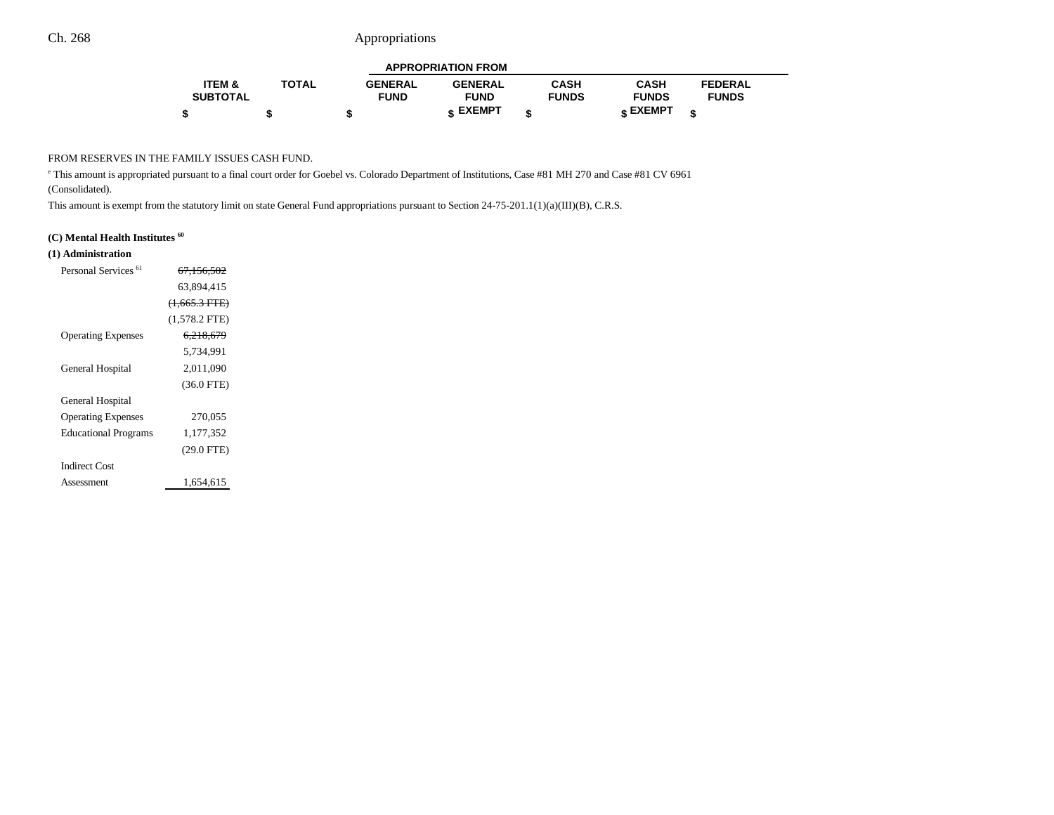|                   |              |                | <b>APPROPRIATION FROM</b> |              |              |                |  |
|-------------------|--------------|----------------|---------------------------|--------------|--------------|----------------|--|
| <b>ITEM &amp;</b> | <b>TOTAL</b> | <b>GENERAL</b> | <b>GENERAL</b>            | <b>CASH</b>  | <b>CASH</b>  | <b>FEDERAL</b> |  |
| <b>SUBTOTAL</b>   |              | <b>FUND</b>    | <b>FUND</b>               | <b>FUNDS</b> | <b>FUNDS</b> | <b>FUNDS</b>   |  |
|                   |              |                | <b>« EXEMPT</b>           |              | е EXEMPT     |                |  |

--

#### FROM RESERVES IN THE FAMILY ISSUES CASH FUND.

e This amount is appropriated pursuant to a final court order for Goebel vs. Colorado Department of Institutions, Case #81 MH 270 and Case #81 CV 6961 (Consolidated).

This amount is exempt from the statutory limit on state General Fund appropriations pursuant to Section 24-75-201.1(1)(a)(III)(B), C.R.S.

### **(C) Mental Health Institutes 60**

## **(1) Administration**

| Personal Services <sup>61</sup> | 67.156.502      |  |
|---------------------------------|-----------------|--|
|                                 | 63,894,415      |  |
|                                 | $(1,665.3$ FTE) |  |
|                                 | $(1,578.2$ FTE) |  |
| <b>Operating Expenses</b>       | 6,218,679       |  |
|                                 | 5.734.991       |  |
| General Hospital                | 2,011,090       |  |
|                                 | $(36.0$ FTE)    |  |
| General Hospital                |                 |  |
| <b>Operating Expenses</b>       | 270,055         |  |
| <b>Educational Programs</b>     | 1,177,352       |  |
|                                 | (29.0 FTE)      |  |
| <b>Indirect Cost</b>            |                 |  |
| Assessment                      | 1,654,615       |  |
|                                 |                 |  |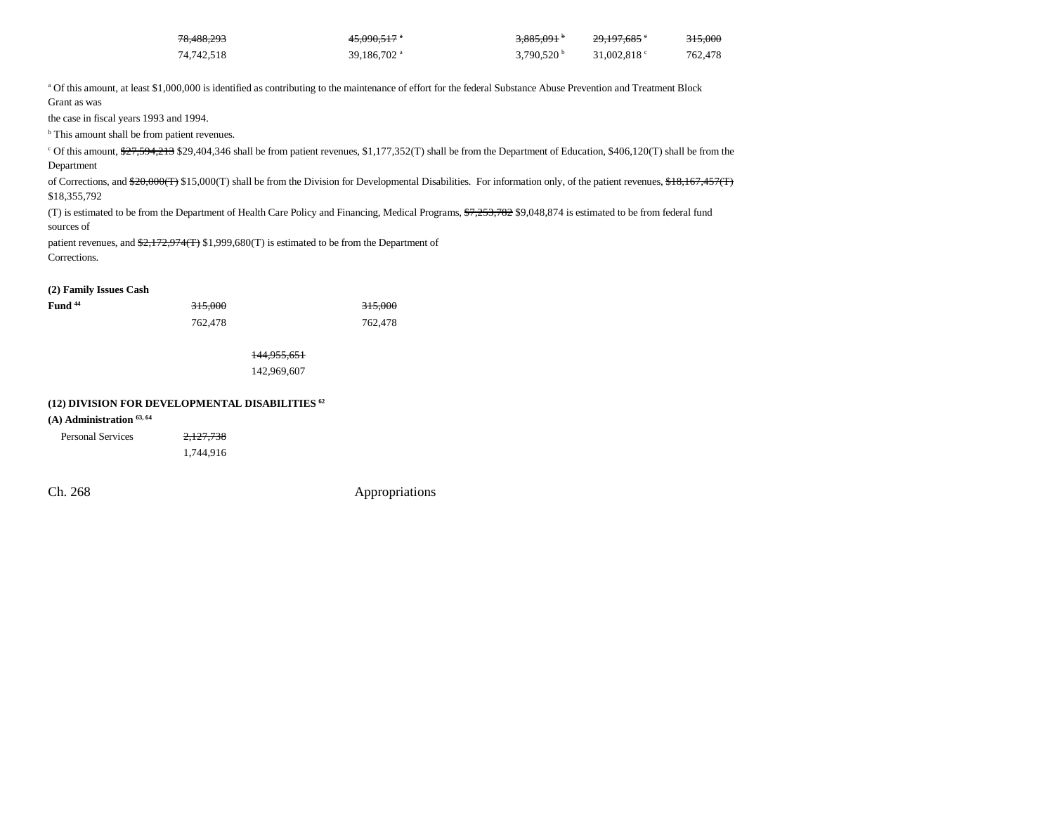| 78.488.293 | 4 <del>5.090.517</del> * | 3.885.091            | 29.197.685 °         | 315.000 |
|------------|--------------------------|----------------------|----------------------|---------|
| 74.742.518 | 39.186.702 <sup>a</sup>  | 3.790.520 $^{\rm b}$ | 31,002.818 $\degree$ | 762.478 |

<sup>a</sup> Of this amount, at least \$1,000,000 is identified as contributing to the maintenance of effort for the federal Substance Abuse Prevention and Treatment Block Grant as was

the case in fiscal years 1993 and 1994.

<sup>b</sup> This amount shall be from patient revenues.

<sup>c</sup> Of this amount, \$27,594,213 \$29,404,346 shall be from patient revenues, \$1,177,352(T) shall be from the Department of Education, \$406,120(T) shall be from the Department

of Corrections, and  $\frac{620,000(\text{T})}{15,000(\text{T})}$  shall be from the Division for Developmental Disabilities. For information only, of the patient revenues, \$18,167,457(T) \$18,355,792

(T) is estimated to be from the Department of Health Care Policy and Financing, Medical Programs,  $7,253,782$  \$9,048,874 is estimated to be from federal fund sources of

patient revenues, and  $\frac{2,172,974(T)}{2,1999,680(T)}$  is estimated to be from the Department of Corrections.

**(2) Family Issues Cash**

| Fund <sup>44</sup> | 315.000 | 315.000 |
|--------------------|---------|---------|
|                    | 762.478 | 762,478 |

144,955,651 142,969,607

#### **(12) DIVISION FOR DEVELOPMENTAL DISABILITIES 62**

#### **(A) Administration 63, 64**

Personal Services 2,127,738 1,744,916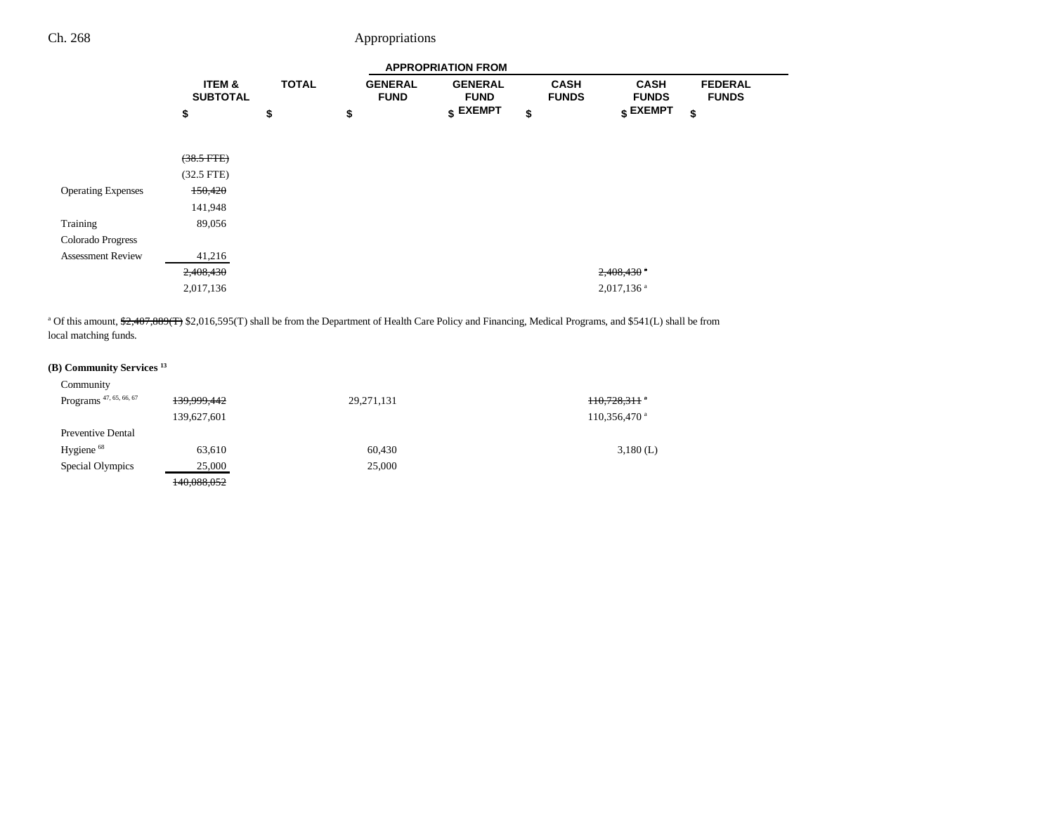|                           |                                      |              |                               | <b>APPROPRIATION FROM</b>     |                             |                             |                                |
|---------------------------|--------------------------------------|--------------|-------------------------------|-------------------------------|-----------------------------|-----------------------------|--------------------------------|
|                           | <b>ITEM &amp;</b><br><b>SUBTOTAL</b> | <b>TOTAL</b> | <b>GENERAL</b><br><b>FUND</b> | <b>GENERAL</b><br><b>FUND</b> | <b>CASH</b><br><b>FUNDS</b> | <b>CASH</b><br><b>FUNDS</b> | <b>FEDERAL</b><br><b>FUNDS</b> |
|                           | \$                                   | \$           | \$                            | $$$ EXEMPT                    | \$                          | $$\mathsf{EXEMPT}$$         | \$                             |
|                           |                                      |              |                               |                               |                             |                             |                                |
|                           | $(38.5$ FTE $)$                      |              |                               |                               |                             |                             |                                |
|                           | $(32.5$ FTE)                         |              |                               |                               |                             |                             |                                |
| <b>Operating Expenses</b> | 150,420                              |              |                               |                               |                             |                             |                                |
|                           | 141,948                              |              |                               |                               |                             |                             |                                |
| Training                  | 89,056                               |              |                               |                               |                             |                             |                                |
| Colorado Progress         |                                      |              |                               |                               |                             |                             |                                |
| <b>Assessment Review</b>  | 41,216                               |              |                               |                               |                             |                             |                                |
|                           | 2,408,430                            |              |                               |                               |                             | $2,408,430$ $\degree$       |                                |
|                           | 2,017,136                            |              |                               |                               |                             | $2,017,136$ <sup>a</sup>    |                                |

<sup>a</sup> Of this amount,  $\frac{22,407,889(T)}{2}$  \$2,016,595(T) shall be from the Department of Health Care Policy and Financing, Medical Programs, and \$541(L) shall be from local matching funds.

## **(B) Community Services 13**

| Community                          |             |            |                            |
|------------------------------------|-------------|------------|----------------------------|
| Programs <sup>47, 65, 66, 67</sup> | 139,999,442 | 29,271,131 | $+10,728,311$ *            |
|                                    | 139,627,601 |            | $110,356,470$ <sup>a</sup> |
| <b>Preventive Dental</b>           |             |            |                            |
| Hygiene $68$                       | 63,610      | 60,430     | $3,180$ (L)                |
| Special Olympics                   | 25,000      | 25,000     |                            |
|                                    | 140,088,052 |            |                            |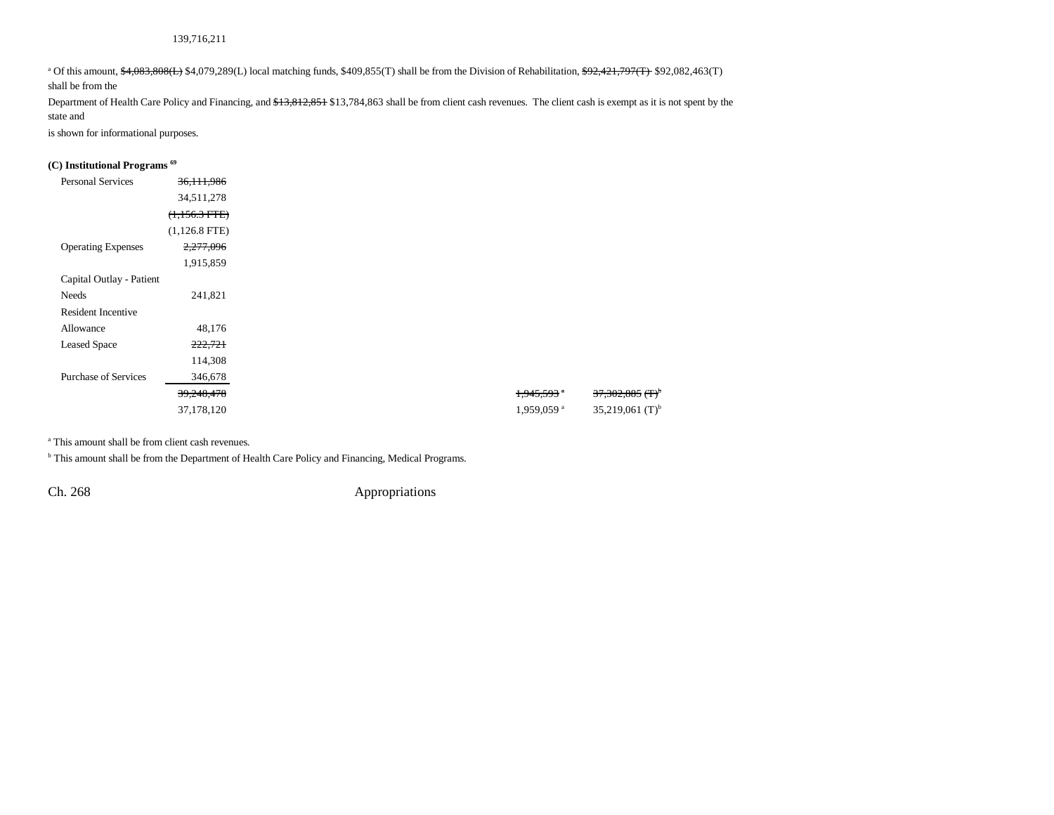#### 139,716,211

<sup>a</sup> Of this amount,  $\frac{4,083,808(1)}{2}$  \$4,079,289(L) local matching funds, \$409,855(T) shall be from the Division of Rehabilitation, <del>\$92,421,797(T)</del> \$92,082,463(T)

shall be from the

Department of Health Care Policy and Financing, and \$13,812,851 \$13,784,863 shall be from client cash revenues. The client cash is exempt as it is not spent by the state and

is shown for informational purposes.

#### **(C) Institutional Programs 69**

| <b>Personal Services</b><br><b>Operating Expenses</b> | 36, 111, 986<br>34,511,278<br>$(1,156.3$ FTE)<br>$(1,126.8$ FTE) |
|-------------------------------------------------------|------------------------------------------------------------------|
|                                                       |                                                                  |
|                                                       |                                                                  |
|                                                       |                                                                  |
|                                                       |                                                                  |
|                                                       | 2,277,096                                                        |
|                                                       | 1,915,859                                                        |
| Capital Outlay - Patient                              |                                                                  |
| Needs                                                 | 241,821                                                          |
| <b>Resident Incentive</b>                             |                                                                  |
| Allowance                                             | 48,176                                                           |
| <b>Leased Space</b>                                   | 222,721                                                          |
|                                                       | 114,308                                                          |
| <b>Purchase of Services</b>                           | 346,678                                                          |
|                                                       | 39,248,478                                                       |
|                                                       | 37,178,120                                                       |

a This amount shall be from client cash revenues.

**b** This amount shall be from the Department of Health Care Policy and Financing, Medical Programs.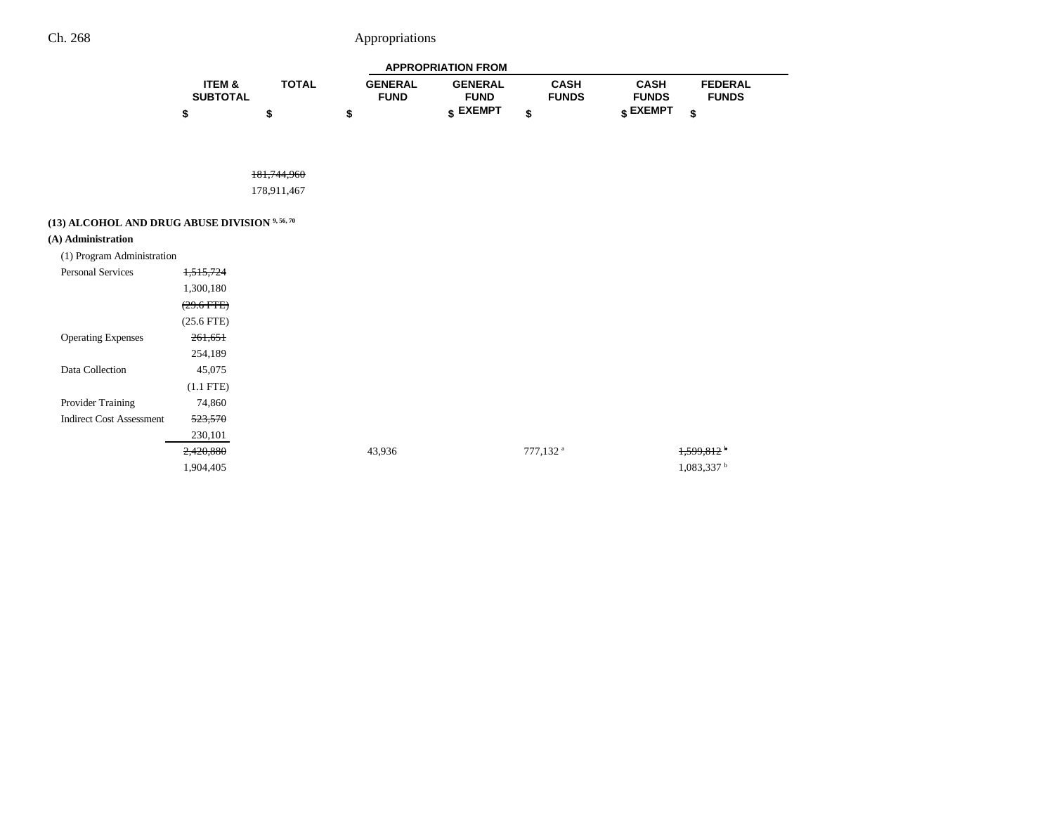|                   |              |                | <b>APPROPRIATION FROM</b> |              |                   |                |  |
|-------------------|--------------|----------------|---------------------------|--------------|-------------------|----------------|--|
| <b>ITEM &amp;</b> | <b>TOTAL</b> | <b>GENERAL</b> | <b>GENERAL</b>            | CASH         | CASH              | <b>FEDERAL</b> |  |
| <b>SUBTOTAL</b>   |              | <b>FUND</b>    | <b>FUND</b>               | <b>FUNDS</b> | <b>FUNDS</b>      | <b>FUNDS</b>   |  |
|                   |              |                | <b>c</b> EXEMPT           |              | $\epsilon$ EXEMPT |                |  |

181,744,960

178,911,467

# **(13) ALCOHOL AND DRUG ABUSE DIVISION 9, 56, 70**

#### **(A) Administration**

| (1) Program Administration      |                 |        |                      |                          |
|---------------------------------|-----------------|--------|----------------------|--------------------------|
| <b>Personal Services</b>        | 1,515,724       |        |                      |                          |
|                                 | 1,300,180       |        |                      |                          |
|                                 | $(29.6$ FTE $)$ |        |                      |                          |
|                                 | $(25.6$ FTE)    |        |                      |                          |
| <b>Operating Expenses</b>       | 261,651         |        |                      |                          |
|                                 | 254,189         |        |                      |                          |
| Data Collection                 | 45,075          |        |                      |                          |
|                                 | $(1.1$ FTE)     |        |                      |                          |
| Provider Training               | 74,860          |        |                      |                          |
| <b>Indirect Cost Assessment</b> | 523,570         |        |                      |                          |
|                                 | 230,101         |        |                      |                          |
|                                 | 2,420,880       | 43,936 | 777,132 <sup>a</sup> | 1,599,812                |
|                                 | 1,904,405       |        |                      | $1,083,337$ <sup>t</sup> |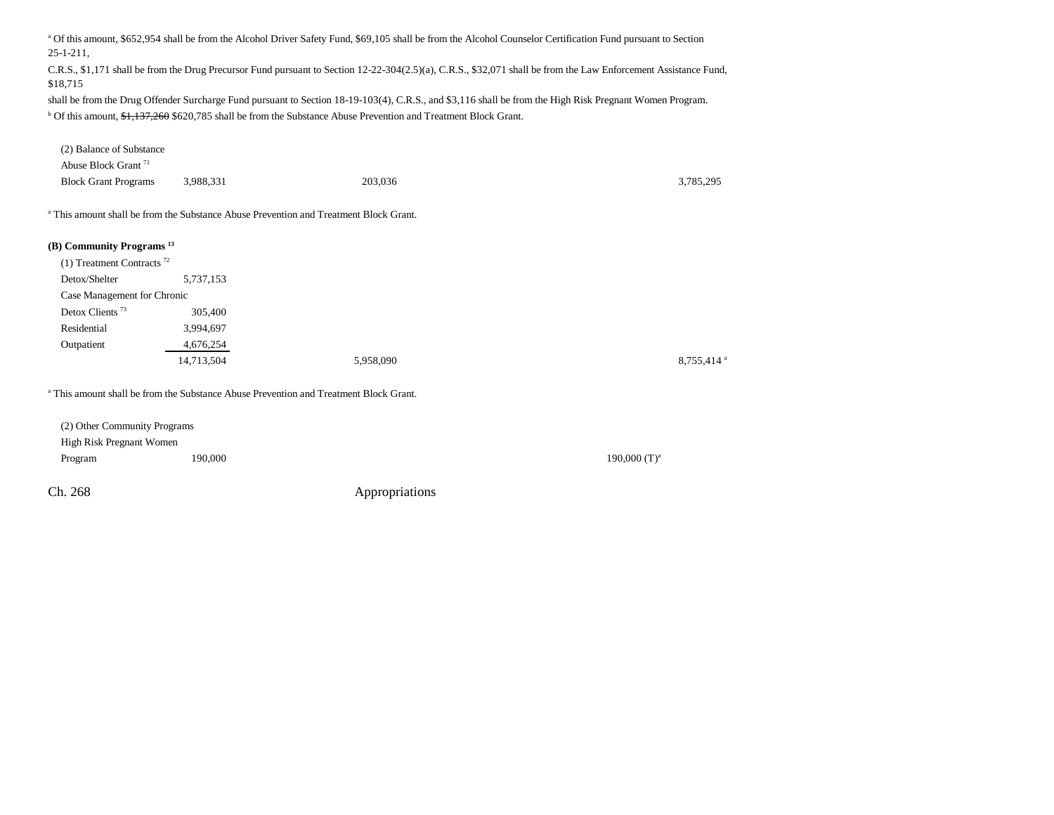a Of this amount, \$652,954 shall be from the Alcohol Driver Safety Fund, \$69,105 shall be from the Alcohol Counselor Certification Fund pursuant to Section 25-1-211,

C.R.S., \$1,171 shall be from the Drug Precursor Fund pursuant to Section 12-22-304(2.5)(a), C.R.S., \$32,071 shall be from the Law Enforcement Assistance Fund, \$18,715

shall be from the Drug Offender Surcharge Fund pursuant to Section 18-19-103(4), C.R.S., and \$3,116 shall be from the High Risk Pregnant Women Program. <sup>b</sup> Of this amount, \$1,137,260 \$620,785 shall be from the Substance Abuse Prevention and Treatment Block Grant.

| (2) Balance of Substance                |                                                                                                  |           |                        |
|-----------------------------------------|--------------------------------------------------------------------------------------------------|-----------|------------------------|
| Abuse Block Grant <sup>71</sup>         |                                                                                                  |           |                        |
| <b>Block Grant Programs</b>             | 3,988,331                                                                                        | 203,036   | 3,785,295              |
|                                         | <sup>a</sup> This amount shall be from the Substance Abuse Prevention and Treatment Block Grant. |           |                        |
| (B) Community Programs <sup>13</sup>    |                                                                                                  |           |                        |
| $(1)$ Treatment Contracts <sup>72</sup> |                                                                                                  |           |                        |
| Detox/Shelter                           | 5,737,153                                                                                        |           |                        |
| Case Management for Chronic             |                                                                                                  |           |                        |
| Detox Clients <sup>73</sup>             | 305,400                                                                                          |           |                        |
| Residential                             | 3,994,697                                                                                        |           |                        |
| Outpatient                              | 4,676,254                                                                                        |           |                        |
|                                         | 14,713,504                                                                                       | 5,958,090 | 8,755,414 <sup>a</sup> |
|                                         | <sup>a</sup> This amount shall be from the Substance Abuse Prevention and Treatment Block Grant. |           |                        |
| (2) Other Community Programs            |                                                                                                  |           |                        |

High Risk Pregnant Women Program  $190,000$   $(1)^a$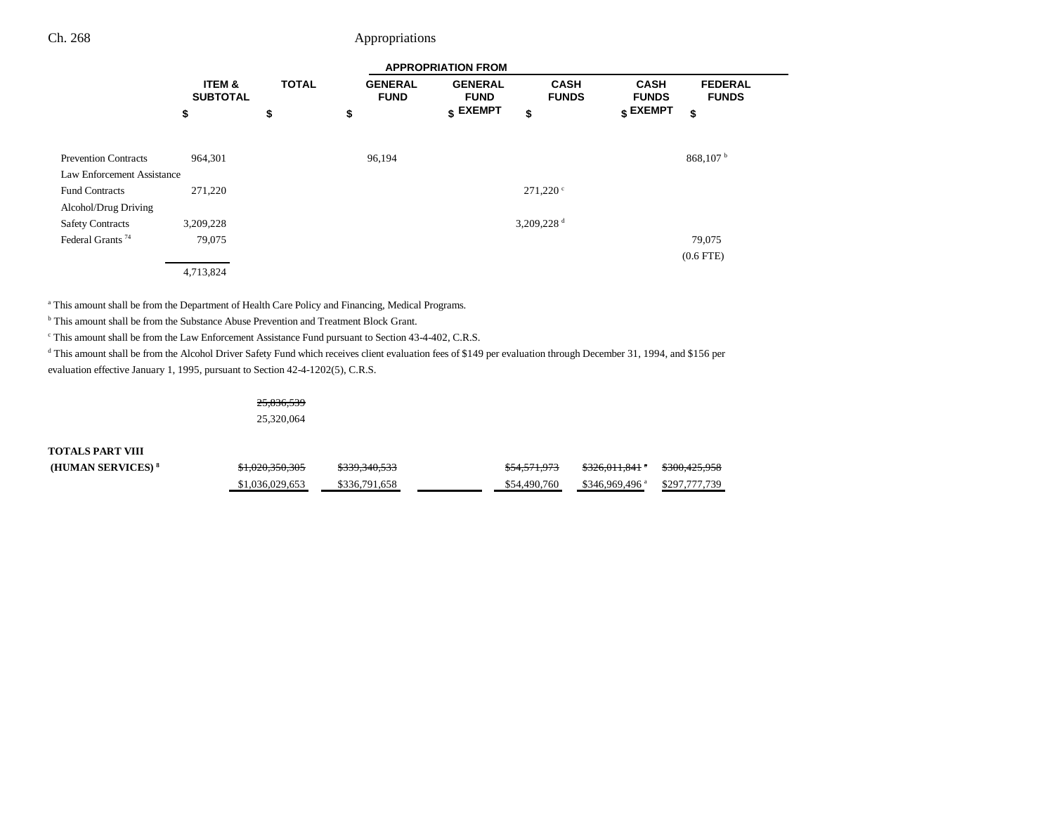|                              |                           | <b>APPROPRIATION FROM</b> |                               |                               |                             |                                  |                                |  |
|------------------------------|---------------------------|---------------------------|-------------------------------|-------------------------------|-----------------------------|----------------------------------|--------------------------------|--|
|                              | ITEM &<br><b>SUBTOTAL</b> | <b>TOTAL</b>              | <b>GENERAL</b><br><b>FUND</b> | <b>GENERAL</b><br><b>FUND</b> | <b>CASH</b><br><b>FUNDS</b> | <b>CASH</b><br><b>FUNDS</b>      | <b>FEDERAL</b><br><b>FUNDS</b> |  |
|                              | \$                        | \$                        | \$                            | $$$ EXEMPT                    | \$                          | $\boldsymbol{\mathsf{s}}$ EXEMPT | \$                             |  |
|                              |                           |                           |                               |                               |                             |                                  |                                |  |
| <b>Prevention Contracts</b>  | 964,301                   |                           | 96,194                        |                               |                             |                                  | 868,107h                       |  |
| Law Enforcement Assistance   |                           |                           |                               |                               |                             |                                  |                                |  |
| <b>Fund Contracts</b>        | 271,220                   |                           |                               |                               | $271,220$ $\circ$           |                                  |                                |  |
| Alcohol/Drug Driving         |                           |                           |                               |                               |                             |                                  |                                |  |
| <b>Safety Contracts</b>      | 3,209,228                 |                           |                               |                               | 3,209,228 $d$               |                                  |                                |  |
| Federal Grants <sup>74</sup> | 79,075                    |                           |                               |                               |                             |                                  | 79,075                         |  |
|                              |                           |                           |                               |                               |                             |                                  | $(0.6$ FTE)                    |  |
|                              | 4,713,824                 |                           |                               |                               |                             |                                  |                                |  |

<sup>a</sup> This amount shall be from the Department of Health Care Policy and Financing, Medical Programs.

<sup>b</sup> This amount shall be from the Substance Abuse Prevention and Treatment Block Grant.

c This amount shall be from the Law Enforcement Assistance Fund pursuant to Section 43-4-402, C.R.S.

d This amount shall be from the Alcohol Driver Safety Fund which receives client evaluation fees of \$149 per evaluation through December 31, 1994, and \$156 per evaluation effective January 1, 1995, pursuant to Section 42-4-1202(5), C.R.S.

> 25,836,539 25,320,064

**TOTALS PART VIII**

**(HUMAN SERVICES)**<sup>8</sup>  $$1,020,350,305$   $$339,340,533$   $$54,571,973$   $$326,011,841$ <sup>\*</sup>  $$300,425,958$ \$1,036,029,653 \$336,791,658 \$54,490,760 \$346,969,496 a \$297,777,739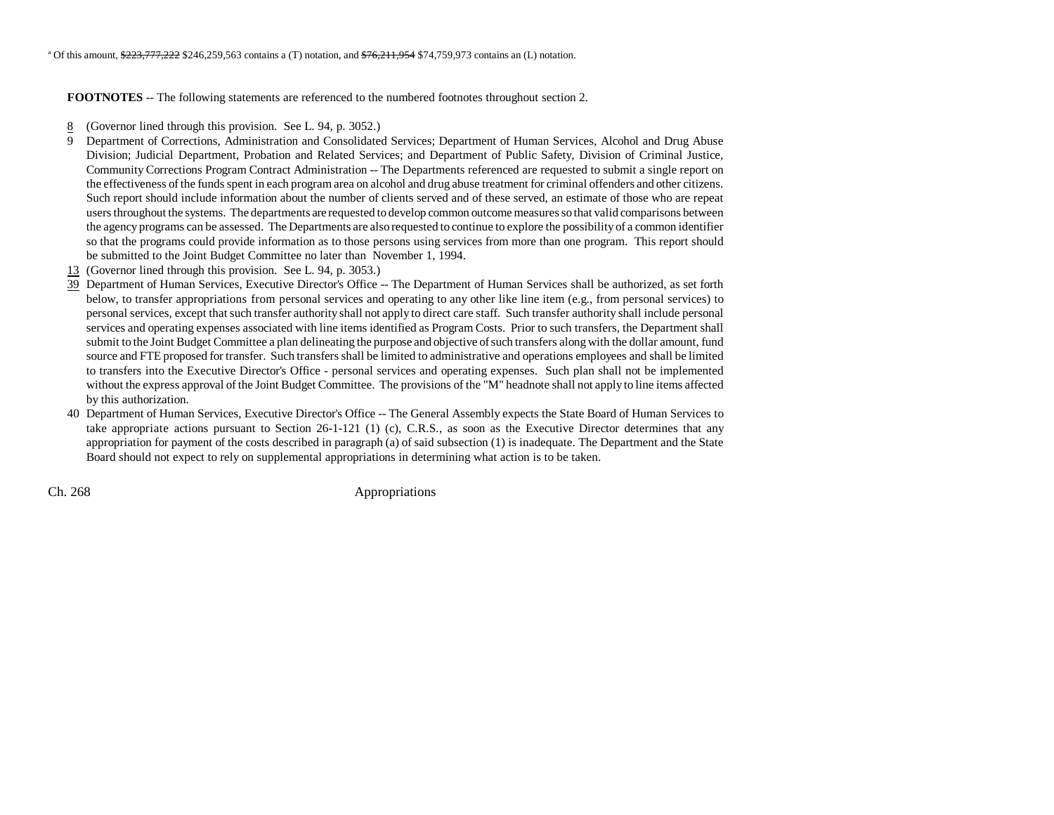**FOOTNOTES** -- The following statements are referenced to the numbered footnotes throughout section 2.

- 8(Governor lined through this provision. See L. 94, p. 3052.)
- 9 Department of Corrections, Administration and Consolidated Services; Department of Human Services, Alcohol and Drug Abuse Division; Judicial Department, Probation and Related Services; and Department of Public Safety, Division of Criminal Justice, Community Corrections Program Contract Administration -- The Departments referenced are requested to submit a single report on the effectiveness of the funds spent in each program area on alcohol and drug abuse treatment for criminal offenders and other citizens. Such report should include information about the number of clients served and of these served, an estimate of those who are repeat users throughout the systems. The departments are requested to develop common outcome measures so that valid comparisons between the agency programs can be assessed. The Departments are also requested to continue to explore the possibility of a common identifier so that the programs could provide information as to those persons using services from more than one program. This report should be submitted to the Joint Budget Committee no later than November 1, 1994.
- 13 (Governor lined through this provision. See L. 94, p. 3053.)
- 39 Department of Human Services, Executive Director's Office -- The Department of Human Services shall be authorized, as set forth below, to transfer appropriations from personal services and operating to any other like line item (e.g., from personal services) to personal services, except that such transfer authority shall not apply to direct care staff. Such transfer authority shall include personal services and operating expenses associated with line items identified as Program Costs. Prior to such transfers, the Department shall submit to the Joint Budget Committee a plan delineating the purpose and objective of such transfers along with the dollar amount, fund source and FTE proposed for transfer. Such transfers shall be limited to administrative and operations employees and shall be limited to transfers into the Executive Director's Office - personal services and operating expenses. Such plan shall not be implemented without the express approval of the Joint Budget Committee. The provisions of the "M" headnote shall not apply to line items affected by this authorization.
- 40 Department of Human Services, Executive Director's Office -- The General Assembly expects the State Board of Human Services to take appropriate actions pursuant to Section 26-1-121 (1) (c), C.R.S., as soon as the Executive Director determines that any appropriation for payment of the costs described in paragraph (a) of said subsection (1) is inadequate. The Department and the State Board should not expect to rely on supplemental appropriations in determining what action is to be taken.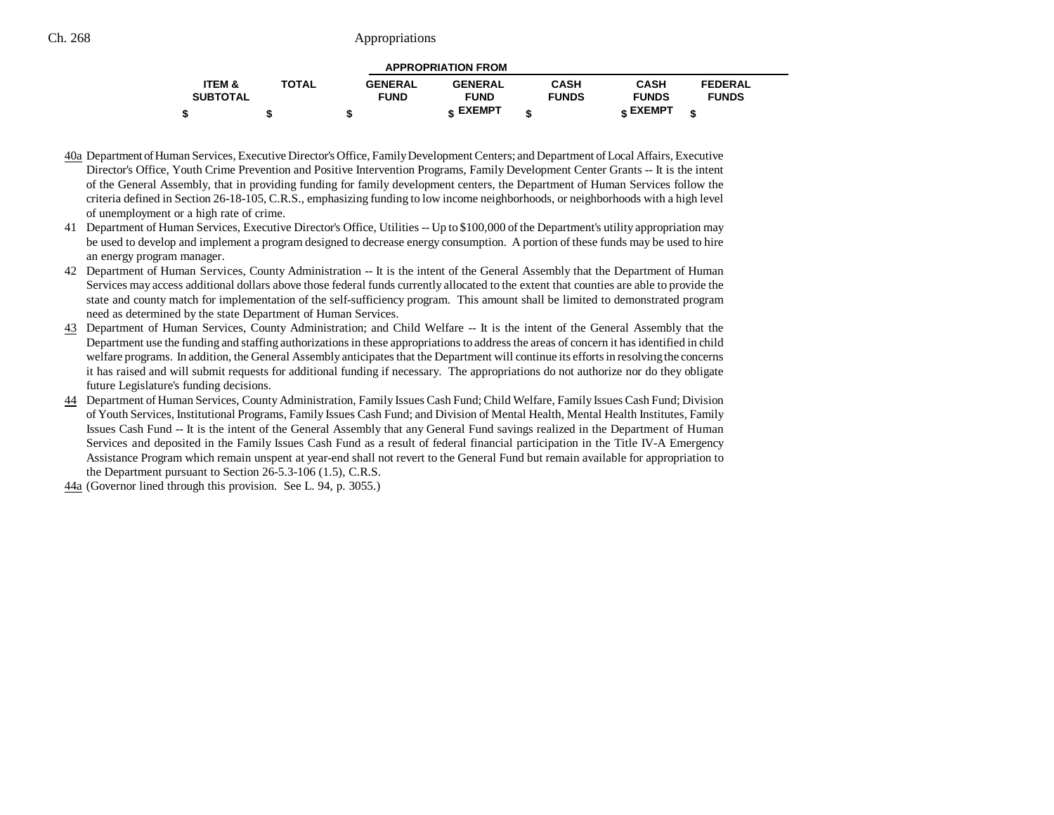|                 |              |                | <b>APPROPRIATION FROM</b> |              |                 |                |  |
|-----------------|--------------|----------------|---------------------------|--------------|-----------------|----------------|--|
| ITEM &          | <b>TOTAL</b> | <b>GENERAL</b> | <b>GENERAL</b>            | <b>CASH</b>  | <b>CASH</b>     | <b>FEDERAL</b> |  |
| <b>SUBTOTAL</b> |              | <b>FUND</b>    | <b>FUND</b>               | <b>FUNDS</b> | <b>FUNDS</b>    | <b>FUNDS</b>   |  |
|                 |              |                | <b>« EXEMPT</b>           |              | <b>« EXEMPT</b> |                |  |

- 40a Department of Human Services, Executive Director's Office, Family Development Centers; and Department of Local Affairs, Executive Director's Office, Youth Crime Prevention and Positive Intervention Programs, Family Development Center Grants -- It is the intent of the General Assembly, that in providing funding for family development centers, the Department of Human Services follow the criteria defined in Section 26-18-105, C.R.S., emphasizing funding to low income neighborhoods, or neighborhoods with a high level of unemployment or a high rate of crime.
- 41 Department of Human Services, Executive Director's Office, Utilities -- Up to \$100,000 of the Department's utility appropriation may be used to develop and implement a program designed to decrease energy consumption. A portion of these funds may be used to hire an energy program manager.
- 42 Department of Human Services, County Administration -- It is the intent of the General Assembly that the Department of Human Services may access additional dollars above those federal funds currently allocated to the extent that counties are able to provide the state and county match for implementation of the self-sufficiency program. This amount shall be limited to demonstrated progra m need as determined by the state Department of Human Services.
- 43 Department of Human Services, County Administration; and Child Welfare -- It is the intent of the General Assembly that the Department use the funding and staffing authorizations in these appropriations to address the areas of concern it has identified in child welfare programs. In addition, the General Assembly anticipates that the Department will continue its efforts in resolving the concerns it has raised and will submit requests for additional funding if necessary. The appropriations do not authorize nor do they obligate future Legislature's funding decisions.
- 44 Department of Human Services, County Administration, Family Issues Cash Fund; Child Welfare, Family Issues Cash Fund; Division of Youth Services, Institutional Programs, Family Issues Cash Fund; and Division of Mental Health, Mental Health Institutes, Family Issues Cash Fund -- It is the intent of the General Assembly that any General Fund savings realized in the Department of Human Services and deposited in the Family Issues Cash Fund as a result of federal financial participation in the Title IV-A Emergency Assistance Program which remain unspent at year-end shall not revert to the General Fund but remain available for appropriation to the Department pursuant to Section 26-5.3-106 (1.5), C.R.S.
- 44a (Governor lined through this provision. See L. 94, p. 3055.)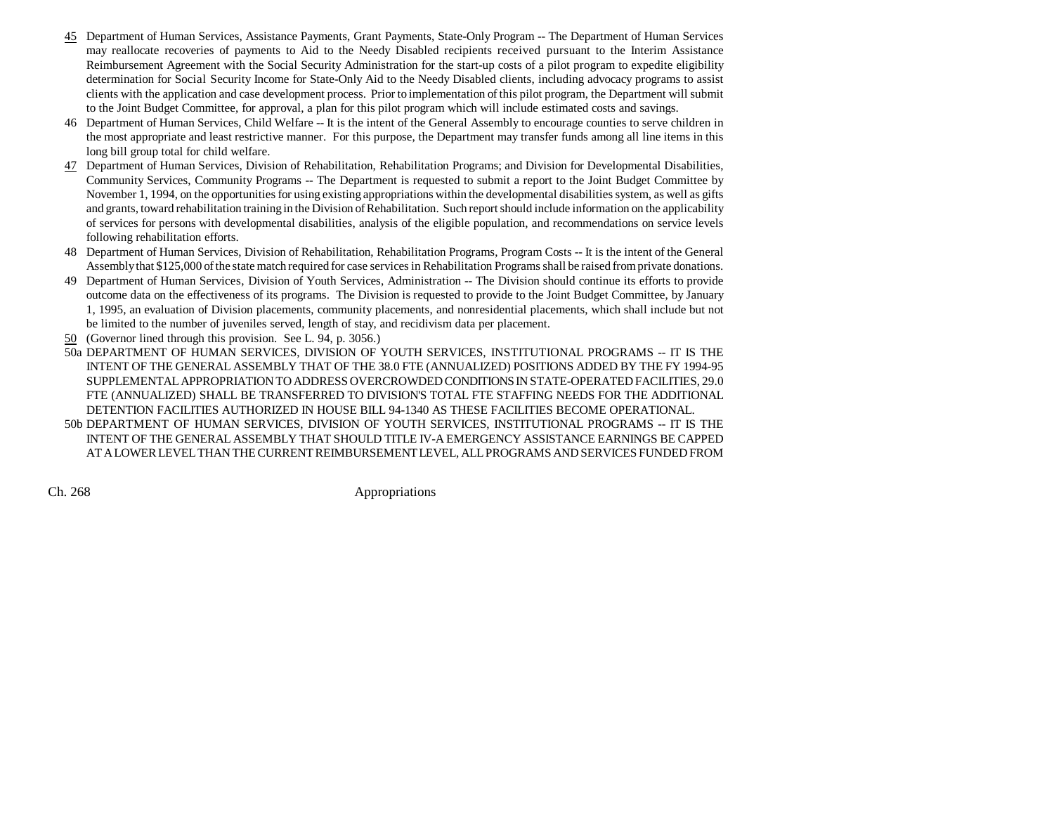- 45 Department of Human Services, Assistance Payments, Grant Payments, State-Only Program -- The Department of Human Services may reallocate recoveries of payments to Aid to the Needy Disabled recipients received pursuant to the Interim Assistance Reimbursement Agreement with the Social Security Administration for the start-up costs of a pilot program to expedite eligibility determination for Social Security Income for State-Only Aid to the Needy Disabled clients, including advocacy programs to assist clients with the application and case development process. Prior to implementation of this pilot program, the Department will submit to the Joint Budget Committee, for approval, a plan for this pilot program which will include estimated costs and savings.
- 46 Department of Human Services, Child Welfare -- It is the intent of the General Assembly to encourage counties to serve children in the most appropriate and least restrictive manner. For this purpose, the Department may transfer funds among all line items in this long bill group total for child welfare.
- 47 Department of Human Services, Division of Rehabilitation, Rehabilitation Programs; and Division for Developmental Disabilities, Community Services, Community Programs -- The Department is requested to submit a report to the Joint Budget Committee by November 1, 1994, on the opportunities for using existing appropriations within the developmental disabilities system, as well as gifts and grants, toward rehabilitation training in the Division of Rehabilitation. Such report should include information on the applicability of services for persons with developmental disabilities, analysis of the eligible population, and recommendations on service levels following rehabilitation efforts.
- 48 Department of Human Services, Division of Rehabilitation, Rehabilitation Programs, Program Costs -- It is the intent of the General Assembly that \$125,000 of the state match required for case services in Rehabilitation Programs shall be raised from private donations.
- 49 Department of Human Services, Division of Youth Services, Administration -- The Division should continue its efforts to provide outcome data on the effectiveness of its programs. The Division is requested to provide to the Joint Budget Committee, by January 1, 1995, an evaluation of Division placements, community placements, and nonresidential placements, which shall include but not be limited to the number of juveniles served, length of stay, and recidivism data per placement.
- 50 (Governor lined through this provision. See L. 94, p. 3056.)
- 50a DEPARTMENT OF HUMAN SERVICES, DIVISION OF YOUTH SERVICES, INSTITUTIONAL PROGRAMS -- IT IS THE INTENT OF THE GENERAL ASSEMBLY THAT OF THE 38.0 FTE (ANNUALIZED) POSITIONS ADDED BY THE FY 1994-95 SUPPLEMENTAL APPROPRIATION TO ADDRESS OVERCROWDED CONDITIONS IN STATE-OPERATED FACILITIES, 29.0 FTE (ANNUALIZED) SHALL BE TRANSFERRED TO DIVISION'S TOTAL FTE STAFFING NEEDS FOR THE ADDITIONAL DETENTION FACILITIES AUTHORIZED IN HOUSE BILL 94-1340 AS THESE FACILITIES BECOME OPERATIONAL.
- 50b DEPARTMENT OF HUMAN SERVICES, DIVISION OF YOUTH SERVICES, INSTITUTIONAL PROGRAMS -- IT IS THE INTENT OF THE GENERAL ASSEMBLY THAT SHOULD TITLE IV-A EMERGENCY ASSISTANCE EARNINGS BE CAPPED AT A LOWER LEVEL THAN THE CURRENT REIMBURSEMENT LEVEL, ALL PROGRAMS AND SERVICES FUNDED FROM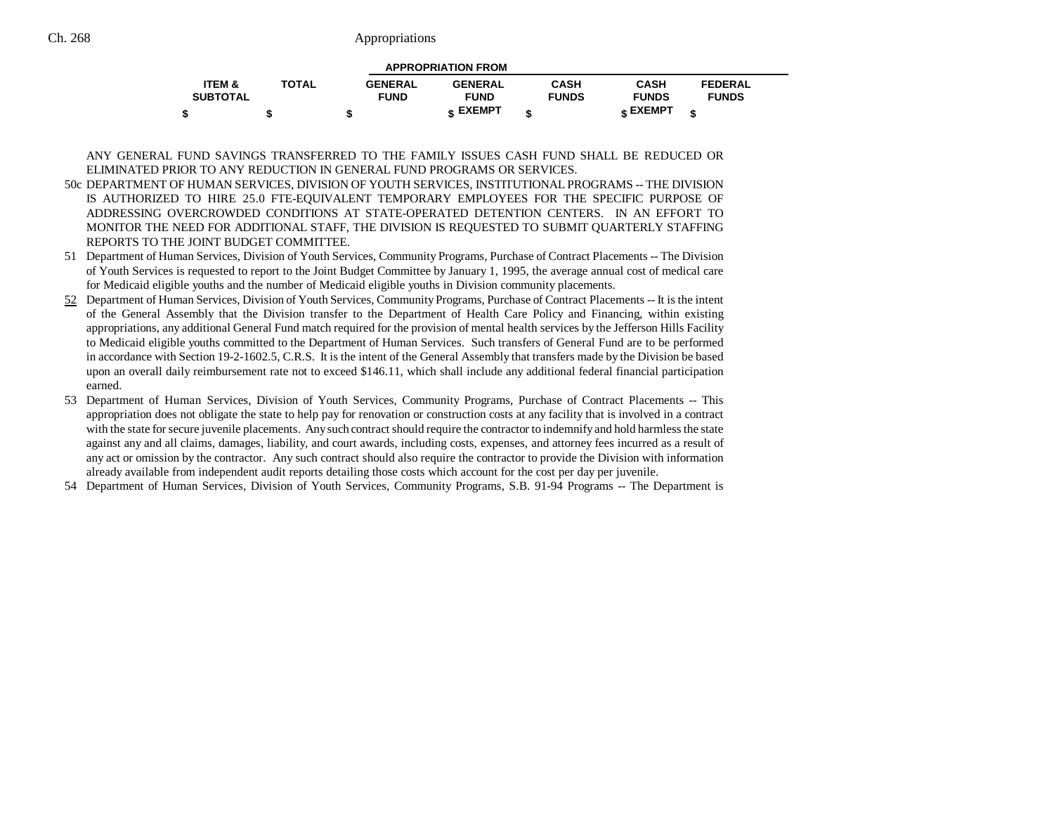|                   |              |                | <b>APPROPRIATION FROM</b> |              |              |                |  |
|-------------------|--------------|----------------|---------------------------|--------------|--------------|----------------|--|
| <b>ITEM &amp;</b> | <b>TOTAL</b> | <b>GENERAL</b> | <b>GENERAL</b>            | <b>CASH</b>  | <b>CASH</b>  | <b>FEDERAL</b> |  |
| <b>SUBTOTAL</b>   |              | <b>FUND</b>    | <b>FUND</b>               | <b>FUNDS</b> | <b>FUNDS</b> | <b>FUNDS</b>   |  |
|                   |              |                | <b>« EXEMPT</b>           |              | EXEMPT ۽     |                |  |

ANY GENERAL FUND SAVINGS TRANSFERRED TO THE FAMILY ISSUES CASH FUND SHALL BE REDUCED ORELIMINATED PRIOR TO ANY REDUCTION IN GENERAL FUND PROGRAMS OR SERVICES.

- 50c DEPARTMENT OF HUMAN SERVICES, DIVISION OF YOUTH SERVICES, INSTITUTIONAL PROGRAMS -- THE DIVISION IS AUTHORIZED TO HIRE 25.0 FTE-EQUIVALENT TEMPORARY EMPLOYEES FOR THE SPECIFIC PURPOSE OF ADDRESSING OVERCROWDED CONDITIONS AT STATE-OPERATED DETENTION CENTERS. IN AN EFFORT TOMONITOR THE NEED FOR ADDITIONAL STAFF, THE DIVISION IS REQUESTED TO SUBMIT QUARTERLY STAFFING REPORTS TO THE JOINT BUDGET COMMITTEE.
- 51 Department of Human Services, Division of Youth Services, Community Programs, Purchase of Contract Placements -- The Division of Youth Services is requested to report to the Joint Budget Committee by January 1, 1995, the average annual cost of medical care for Medicaid eligible youths and the number of Medicaid eligible youths in Division community placements.
- 52 Department of Human Services, Division of Youth Services, Community Programs, Purchase of Contract Placements -- It is the intent of the General Assembly that the Division transfer to the Department of Health Care Policy and Financing, within existing appropriations, any additional General Fund match required for the provision of mental health services by the Jefferson Hills Facility to Medicaid eligible youths committed to the Department of Human Services. Such transfers of General Fund are to be performed in accordance with Section 19-2-1602.5, C.R.S. It is the intent of the General Assembly that transfers made by the Division be based upon an overall daily reimbursement rate not to exceed \$146.11, which shall include any additional federal financial participation earned.
- 53 Department of Human Services, Division of Youth Services, Community Programs, Purchase of Contract Placements -- This appropriation does not obligate the state to help pay for renovation or construction costs at any facility that is involved in a contract with the state for secure juvenile placements. Any such contract should require the contractor to indemnify and hold harmless the state against any and all claims, damages, liability, and court awards, including costs, expenses, and attorney fees incurred as a result of any act or omission by the contractor. Any such contract should also require the contractor to provide the Division with information already available from independent audit reports detailing those costs which account for the cost per day per juvenile.
- 54 Department of Human Services, Division of Youth Services, Community Programs, S.B. 91-94 Programs -- The Department is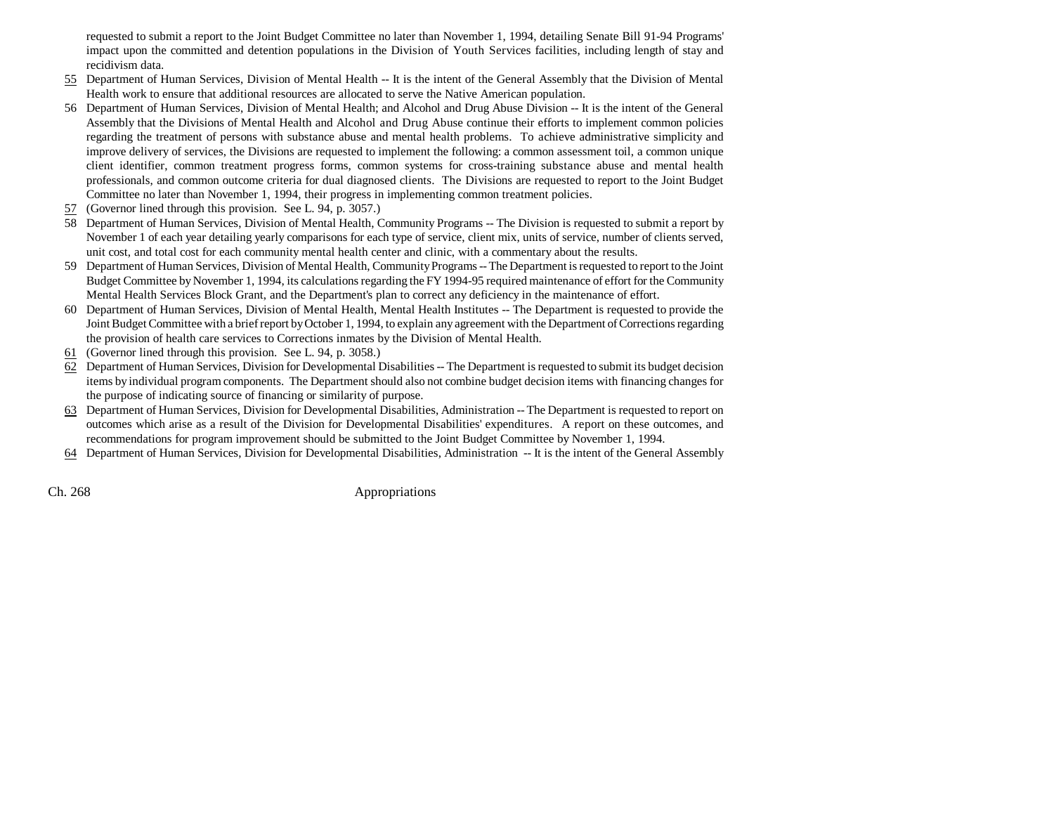requested to submit a report to the Joint Budget Committee no later than November 1, 1994, detailing Senate Bill 91-94 Programs' impact upon the committed and detention populations in the Division of Youth Services facilities, including length of stay and recidivism data.

- 55 Department of Human Services, Division of Mental Health -- It is the intent of the General Assembly that the Division of Mental Health work to ensure that additional resources are allocated to serve the Native American population.
- 56 Department of Human Services, Division of Mental Health; and Alcohol and Drug Abuse Division -- It is the intent of the General Assembly that the Divisions of Mental Health and Alcohol and Drug Abuse continue their efforts to implement common policies regarding the treatment of persons with substance abuse and mental health problems. To achieve administrative simplicity and improve delivery of services, the Divisions are requested to implement the following: a common assessment toil, a common unique client identifier, common treatment progress forms, common systems for cross-training substance abuse and mental health professionals, and common outcome criteria for dual diagnosed clients. The Divisions are requested to report to the Joint Budget Committee no later than November 1, 1994, their progress in implementing common treatment policies.
- 57(Governor lined through this provision. See L. 94, p. 3057.)
- 58 Department of Human Services, Division of Mental Health, Community Programs -- The Division is requested to submit a report by November 1 of each year detailing yearly comparisons for each type of service, client mix, units of service, number of clients served, unit cost, and total cost for each community mental health center and clinic, with a commentary about the results.
- 59 Department of Human Services, Division of Mental Health, Community Programs -- The Department is requested to report to the Joint Budget Committee by November 1, 1994, its calculations regarding the FY 1994-95 required maintenance of effort for the Community Mental Health Services Block Grant, and the Department's plan to correct any deficiency in the maintenance of effort.
- 60 Department of Human Services, Division of Mental Health, Mental Health Institutes -- The Department is requested to provide the Joint Budget Committee with a brief report by October 1, 1994, to explain any agreement with the Department of Corrections regarding the provision of health care services to Corrections inmates by the Division of Mental Health.
- 61 (Governor lined through this provision. See L. 94, p. 3058.)
- $62$  Department of Human Services, Division for Developmental Disabilities -- The Department is requested to submit its budget decision items by individual program components. The Department should also not combine budget decision items with financing changes for the purpose of indicating source of financing or similarity of purpose.
- 63 Department of Human Services, Division for Developmental Disabilities, Administration -- The Department is requested to report on outcomes which arise as a result of the Division for Developmental Disabilities' expenditures. A report on these outcomes, and recommendations for program improvement should be submitted to the Joint Budget Committee by November 1, 1994.
- 64 Department of Human Services, Division for Developmental Disabilities, Administration -- It is the intent of the General Assembly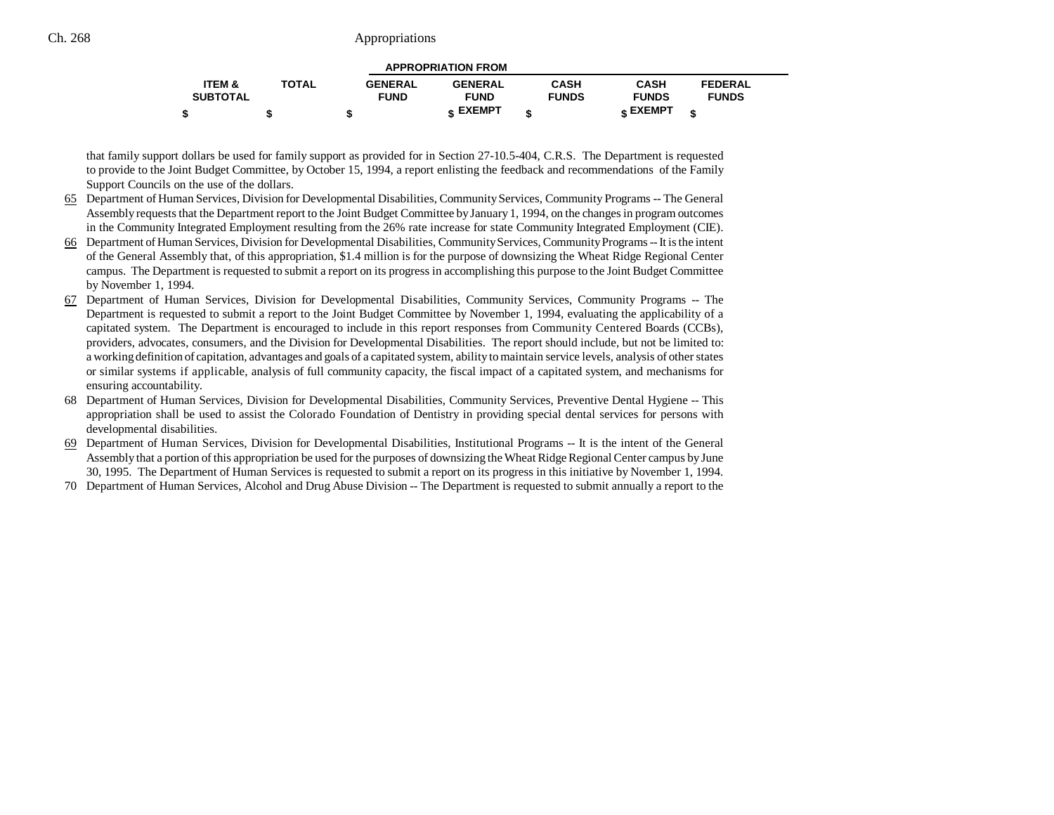|                   |              |                | <b>APPROPRIATION FROM</b> |              |              |                |  |
|-------------------|--------------|----------------|---------------------------|--------------|--------------|----------------|--|
| <b>ITEM &amp;</b> | <b>TOTAL</b> | <b>GENERAL</b> | <b>GENERAL</b>            | <b>CASH</b>  | <b>CASH</b>  | <b>FEDERAL</b> |  |
| <b>SUBTOTAL</b>   |              | <b>FUND</b>    | <b>FUND</b>               | <b>FUNDS</b> | <b>FUNDS</b> | <b>FUNDS</b>   |  |
|                   |              | -12            | <b>« EXEMPT</b>           |              | EXEMPT -     |                |  |

that family support dollars be used for family support as provided for in Section 27-10.5-404, C.R.S. The Department is requested to provide to the Joint Budget Committee, by October 15, 1994, a report enlisting the feedback and recommendations of the Family Support Councils on the use of the dollars.

- 65 Department of Human Services, Division for Developmental Disabilities, Community Services, Community Programs -- The General Assembly requests that the Department report to the Joint Budget Committee by January 1, 1994, on the changes in program outcomes in the Community Integrated Employment resulting from the 26% rate increase for state Community Integrated Employment (CIE).
- 66 Department of Human Services, Division for Developmental Disabilities, Community Services, Community Programs -- It is the intent of the General Assembly that, of this appropriation, \$1.4 million is for the purpose of downsizing the Wheat Ridge Regional Center campus. The Department is requested to submit a report on its progress in accomplishing this purpose to the Joint Budget Committee by November 1, 1994.
- 67 Department of Human Services, Division for Developmental Disabilities, Community Services, Community Programs -- The Department is requested to submit a report to the Joint Budget Committee by November 1, 1994, evaluating the applicability of a capitated system. The Department is encouraged to include in this report responses from Community Centered Boards (CCBs), providers, advocates, consumers, and the Division for Developmental Disabilities. The report should include, but not be limited to: a working definition of capitation, advantages and goals of a capitated system, ability to maintain service levels, analysis of other states or similar systems if applicable, analysis of full community capacity, the fiscal impact of a capitated system, and mechanisms for ensuring accountability.
- 68 Department of Human Services, Division for Developmental Disabilities, Community Services, Preventive Dental Hygiene -- This appropriation shall be used to assist the Colorado Foundation of Dentistry in providing special dental services for persons with developmental disabilities.
- 69 Department of Human Services, Division for Developmental Disabilities, Institutional Programs -- It is the intent of the General Assembly that a portion of this appropriation be used for the purposes of downsizing the Wheat Ridge Regional Center campus by June 30, 1995. The Department of Human Services is requested to submit a report on its progress in this initiative by November 1, 1994.
- 70 Department of Human Services, Alcohol and Drug Abuse Division -- The Department is requested to submit annually a report to the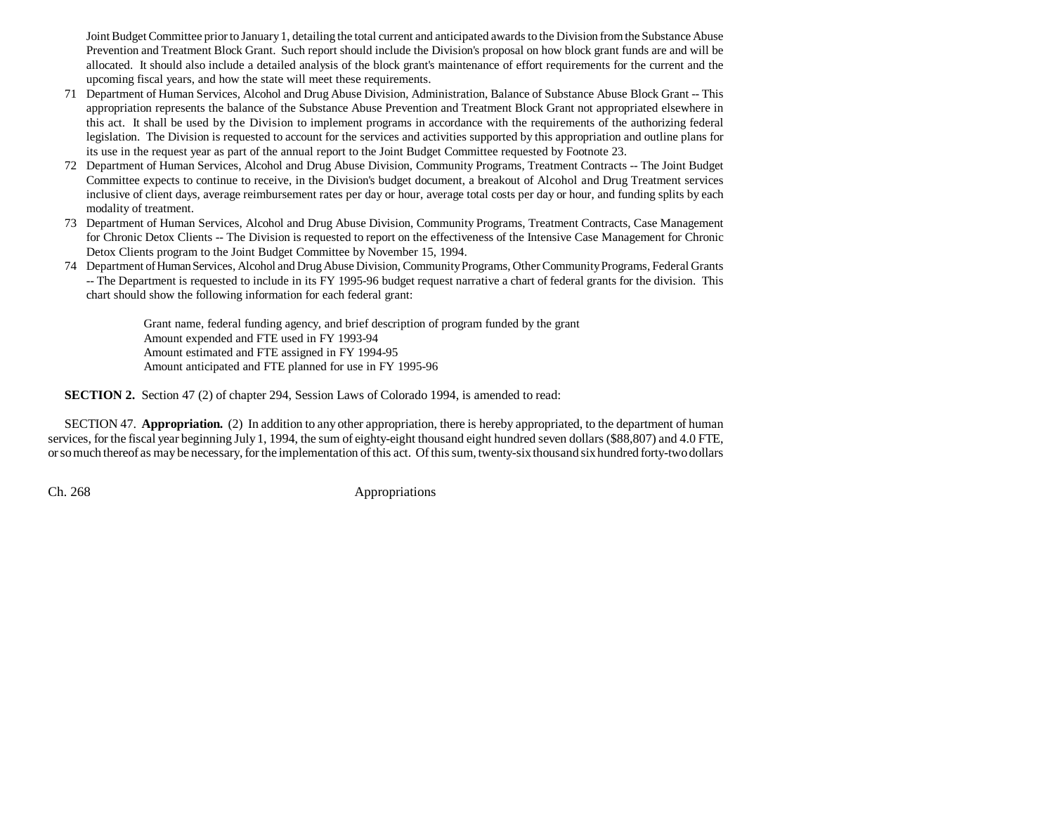Joint Budget Committee prior to January 1, detailing the total current and anticipated awards to the Division from the Substance Abuse Prevention and Treatment Block Grant. Such report should include the Division's proposal on how block grant funds are and will be allocated. It should also include a detailed analysis of the block grant's maintenance of effort requirements for the current and the upcoming fiscal years, and how the state will meet these requirements.

- 71 Department of Human Services, Alcohol and Drug Abuse Division, Administration, Balance of Substance Abuse Block Grant -- This appropriation represents the balance of the Substance Abuse Prevention and Treatment Block Grant not appropriated elsewhere in this act. It shall be used by the Division to implement programs in accordance with the requirements of the authorizing federal legislation. The Division is requested to account for the services and activities supported by this appropriation and outline plans for its use in the request year as part of the annual report to the Joint Budget Committee requested by Footnote 23.
- 72 Department of Human Services, Alcohol and Drug Abuse Division, Community Programs, Treatment Contracts -- The Joint Budget Committee expects to continue to receive, in the Division's budget document, a breakout of Alcohol and Drug Treatment services inclusive of client days, average reimbursement rates per day or hour, average total costs per day or hour, and funding splits by each modality of treatment.
- 73 Department of Human Services, Alcohol and Drug Abuse Division, Community Programs, Treatment Contracts, Case Management for Chronic Detox Clients -- The Division is requested to report on the effectiveness of the Intensive Case Management for Chronic Detox Clients program to the Joint Budget Committee by November 15, 1994.
- 74 Department of Human Services, Alcohol and Drug Abuse Division, Community Programs, Other Community Programs, Federal Grants -- The Department is requested to include in its FY 1995-96 budget request narrative a chart of federal grants for the division. This chart should show the following information for each federal grant:

Grant name, federal funding agency, and brief description of program funded by the grant Amount expended and FTE used in FY 1993-94 Amount estimated and FTE assigned in FY 1994-95 Amount anticipated and FTE planned for use in FY 1995-96

**SECTION 2.** Section 47 (2) of chapter 294, Session Laws of Colorado 1994, is amended to read:

SECTION 47. **Appropriation.** (2) In addition to any other appropriation, there is hereby appropriated, to the department of human services, for the fiscal year beginning July 1, 1994, the sum of eighty-eight thousand eight hundred seven dollars (\$88,807) and 4.0 FTE, or so much thereof as may be necessary, for the implementation of this act. Of this sum, twenty-six thousand six hundred forty-two dollars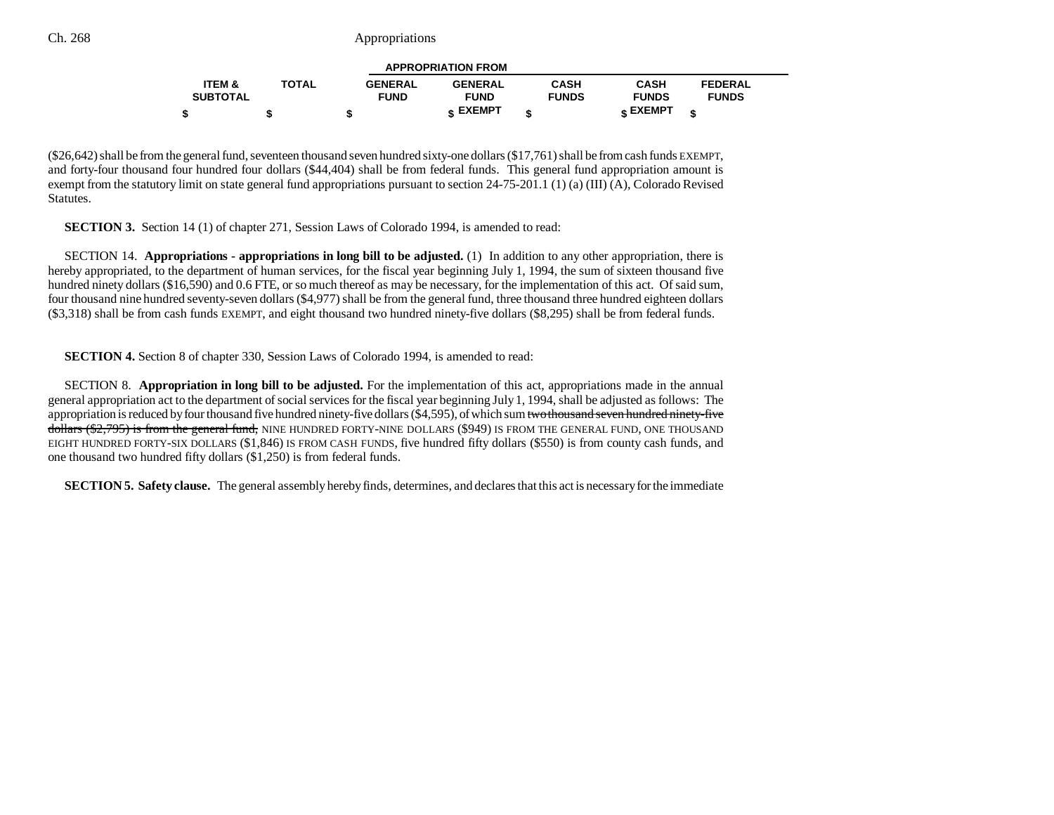|                   |              |                | <b>APPROPRIATION FROM</b> |              |                 |                |  |
|-------------------|--------------|----------------|---------------------------|--------------|-----------------|----------------|--|
| <b>ITEM &amp;</b> | <b>TOTAL</b> | <b>GENERAL</b> | <b>GENERAL</b>            | <b>CASH</b>  | <b>CASH</b>     | <b>FEDERAL</b> |  |
| <b>SUBTOTAL</b>   |              | <b>FUND</b>    | <b>FUND</b>               | <b>FUNDS</b> | <b>FUNDS</b>    | <b>FUNDS</b>   |  |
|                   |              | -12            | ← EXEMPT                  | ¢            | <b>« EXEMPT</b> |                |  |

(\$26,642) shall be from the general fund, seventeen thousand seven hundred sixty-one dollars (\$17,761) shall be from cash funds EXEMPT, and forty-four thousand four hundred four dollars (\$44,404) shall be from federal funds. This general fund appropriation amount is exempt from the statutory limit on state general fund appropriations pursuant to section 24-75-201.1 (1) (a) (III) (A), Colorado Revised Statutes.

**SECTION 3.** Section 14 (1) of chapter 271, Session Laws of Colorado 1994, is amended to read:

SECTION 14. **Appropriations - appropriations in long bill to be adjusted.** (1) In addition to any other appropriation, there is hereby appropriated, to the department of human services, for the fiscal year beginning July 1, 1994, the sum of sixteen thousand five hundred ninety dollars (\$16,590) and 0.6 FTE, or so much thereof as may be necessary, for the implementation of this act. Of said sum, four thousand nine hundred seventy-seven dollars (\$4,977) shall be from the general fund, three thousand three hundred eighteen dollars (\$3,318) shall be from cash funds EXEMPT, and eight thousand two hundred ninety-five dollars (\$8,295) shall be from federal funds.

**SECTION 4.** Section 8 of chapter 330, Session Laws of Colorado 1994, is amended to read:

SECTION 8. **Appropriation in long bill to be adjusted.** For the implementation of this act, appropriations made in the annual general appropriation act to the department of social services for the fiscal year beginning July 1, 1994, shall be adjusted as follows: The appropriation is reduced by four thousand five hundred ninety-five dollars (\$4,595), of which sum two thousand seven hundred ninety-five dollars (\$2,795) is from the general fund, NINE HUNDRED FORTY-NINE DOLLARS (\$949) IS FROM THE GENERAL FUND, ONE THOUSAND EIGHT HUNDRED FORTY-SIX DOLLARS (\$1,846) IS FROM CASH FUNDS, five hundred fifty dollars (\$550) is from county cash funds, and one thousand two hundred fifty dollars (\$1,250) is from federal funds.

**SECTION 5. Safety clause.** The general assembly hereby finds, determines, and declares that this act is necessary for the immediate